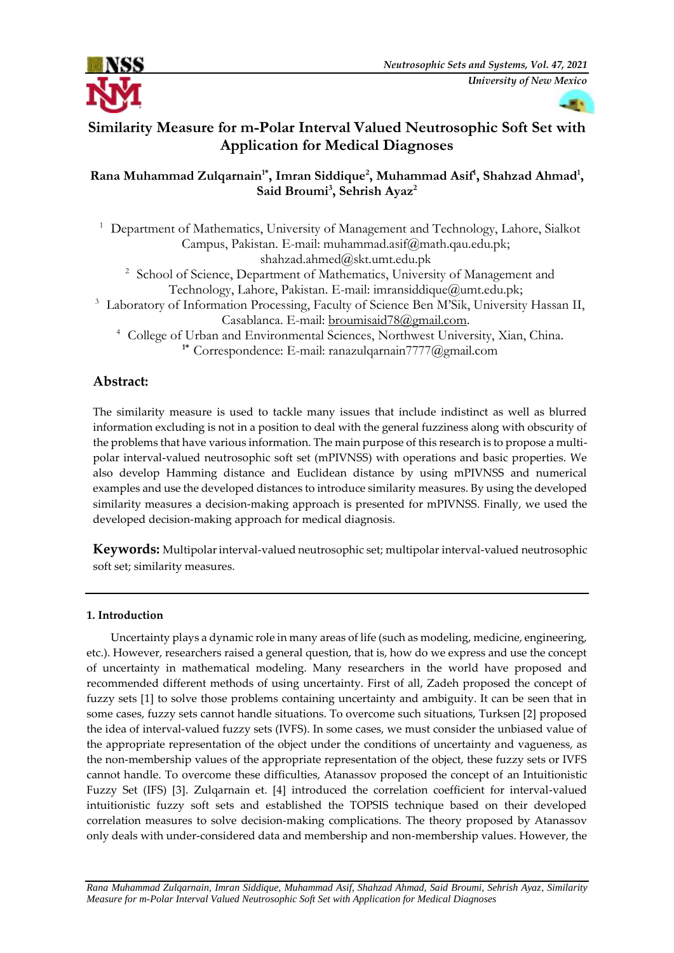

# **Similarity Measure for m-Polar Interval Valued Neutrosophic Soft Set with Application for Medical Diagnoses**

# **Rana Muhammad Zulqarnain1\* , Imran Siddique<sup>2</sup> , Muhammad Asif<sup>1</sup> , Shahzad Ahmad<sup>1</sup> , Said Broumi<sup>3</sup> , Sehrish Ayaz<sup>2</sup>**

<sup>1</sup> Department of Mathematics, University of Management and Technology, Lahore, Sialkot Campus, Pakistan. E-mail: [muhammad.asif@math.qau.edu.pk;](mailto:muhammad.asif@math.qau.edu.pk) shahzad.ahmed@skt.umt.edu.pk <sup>2</sup> School of Science, Department of Mathematics, University of Management and Technology, Lahore, Pakistan. E-mail: [imransiddique@umt.edu.pk;](mailto:imransiddique@umt.edu.pk)

<sup>3</sup> Laboratory of Information Processing, Faculty of Science Ben M'Sik, University Hassan II, Casablanca. E-mail: [broumisaid78@gmail.com.](mailto:broumisaid78@gmail.com)

<sup>4</sup> College of Urban and Environmental Sciences, Northwest University, Xian, China. **1\*** Correspondence: E-mail: ranazulqarnain7777@gmail.com

# **Abstract:**

The similarity measure is used to tackle many issues that include indistinct as well as blurred information excluding is not in a position to deal with the general fuzziness along with obscurity of the problems that have various information. The main purpose of this research is to propose a multipolar interval-valued neutrosophic soft set (mPIVNSS) with operations and basic properties. We also develop Hamming distance and Euclidean distance by using mPIVNSS and numerical examples and use the developed distances to introduce similarity measures. By using the developed similarity measures a decision-making approach is presented for mPIVNSS. Finally, we used the developed decision-making approach for medical diagnosis.

Keywords: Multipolar interval-valued neutrosophic set; multipolar interval-valued neutrosophic soft set; similarity measures.

# **1. Introduction**

Uncertainty plays a dynamic role in many areas of life (such as modeling, medicine, engineering, etc.). However, researchers raised a general question, that is, how do we express and use the concept of uncertainty in mathematical modeling. Many researchers in the world have proposed and recommended different methods of using uncertainty. First of all, Zadeh proposed the concept of fuzzy sets [1] to solve those problems containing uncertainty and ambiguity. It can be seen that in some cases, fuzzy sets cannot handle situations. To overcome such situations, Turksen [2] proposed the idea of interval-valued fuzzy sets (IVFS). In some cases, we must consider the unbiased value of the appropriate representation of the object under the conditions of uncertainty and vagueness, as the non-membership values of the appropriate representation of the object, these fuzzy sets or IVFS cannot handle. To overcome these difficulties, Atanassov proposed the concept of an Intuitionistic Fuzzy Set (IFS) [3]. Zulqarnain et. [4] introduced the correlation coefficient for interval-valued intuitionistic fuzzy soft sets and established the TOPSIS technique based on their developed correlation measures to solve decision-making complications. The theory proposed by Atanassov only deals with under-considered data and membership and non-membership values. However, the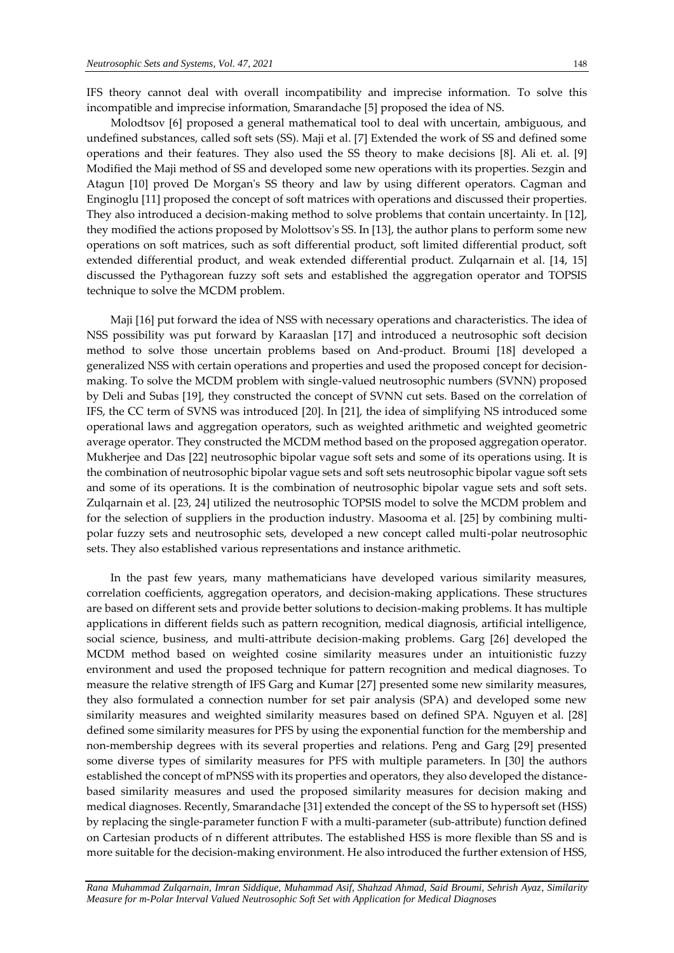IFS theory cannot deal with overall incompatibility and imprecise information. To solve this incompatible and imprecise information, Smarandache [5] proposed the idea of NS.

Molodtsov [6] proposed a general mathematical tool to deal with uncertain, ambiguous, and undefined substances, called soft sets (SS). Maji et al. [7] Extended the work of SS and defined some operations and their features. They also used the SS theory to make decisions [8]. Ali et. al. [9] Modified the Maji method of SS and developed some new operations with its properties. Sezgin and Atagun [10] proved De Morgan's SS theory and law by using different operators. Cagman and Enginoglu [11] proposed the concept of soft matrices with operations and discussed their properties. They also introduced a decision-making method to solve problems that contain uncertainty. In [12], they modified the actions proposed by Molottsov's SS. In [13], the author plans to perform some new operations on soft matrices, such as soft differential product, soft limited differential product, soft extended differential product, and weak extended differential product. Zulqarnain et al. [14, 15] discussed the Pythagorean fuzzy soft sets and established the aggregation operator and TOPSIS technique to solve the MCDM problem.

Maji [16] put forward the idea of NSS with necessary operations and characteristics. The idea of NSS possibility was put forward by Karaaslan [17] and introduced a neutrosophic soft decision method to solve those uncertain problems based on And-product. Broumi [18] developed a generalized NSS with certain operations and properties and used the proposed concept for decisionmaking. To solve the MCDM problem with single-valued neutrosophic numbers (SVNN) proposed by Deli and Subas [19], they constructed the concept of SVNN cut sets. Based on the correlation of IFS, the CC term of SVNS was introduced [20]. In [21], the idea of simplifying NS introduced some operational laws and aggregation operators, such as weighted arithmetic and weighted geometric average operator. They constructed the MCDM method based on the proposed aggregation operator. Mukherjee and Das [22] neutrosophic bipolar vague soft sets and some of its operations using. It is the combination of neutrosophic bipolar vague sets and soft sets neutrosophic bipolar vague soft sets and some of its operations. It is the combination of neutrosophic bipolar vague sets and soft sets. Zulqarnain et al. [23, 24] utilized the neutrosophic TOPSIS model to solve the MCDM problem and for the selection of suppliers in the production industry. Masooma et al. [25] by combining multipolar fuzzy sets and neutrosophic sets, developed a new concept called multi-polar neutrosophic sets. They also established various representations and instance arithmetic.

In the past few years, many mathematicians have developed various similarity measures, correlation coefficients, aggregation operators, and decision-making applications. These structures are based on different sets and provide better solutions to decision-making problems. It has multiple applications in different fields such as pattern recognition, medical diagnosis, artificial intelligence, social science, business, and multi-attribute decision-making problems. Garg [26] developed the MCDM method based on weighted cosine similarity measures under an intuitionistic fuzzy environment and used the proposed technique for pattern recognition and medical diagnoses. To measure the relative strength of IFS Garg and Kumar [27] presented some new similarity measures, they also formulated a connection number for set pair analysis (SPA) and developed some new similarity measures and weighted similarity measures based on defined SPA. Nguyen et al. [28] defined some similarity measures for PFS by using the exponential function for the membership and non-membership degrees with its several properties and relations. Peng and Garg [29] presented some diverse types of similarity measures for PFS with multiple parameters. In [30] the authors established the concept of mPNSS with its properties and operators, they also developed the distancebased similarity measures and used the proposed similarity measures for decision making and medical diagnoses. Recently, Smarandache [31] extended the concept of the SS to hypersoft set (HSS) by replacing the single-parameter function F with a multi-parameter (sub-attribute) function defined on Cartesian products of n different attributes. The established HSS is more flexible than SS and is more suitable for the decision-making environment. He also introduced the further extension of HSS,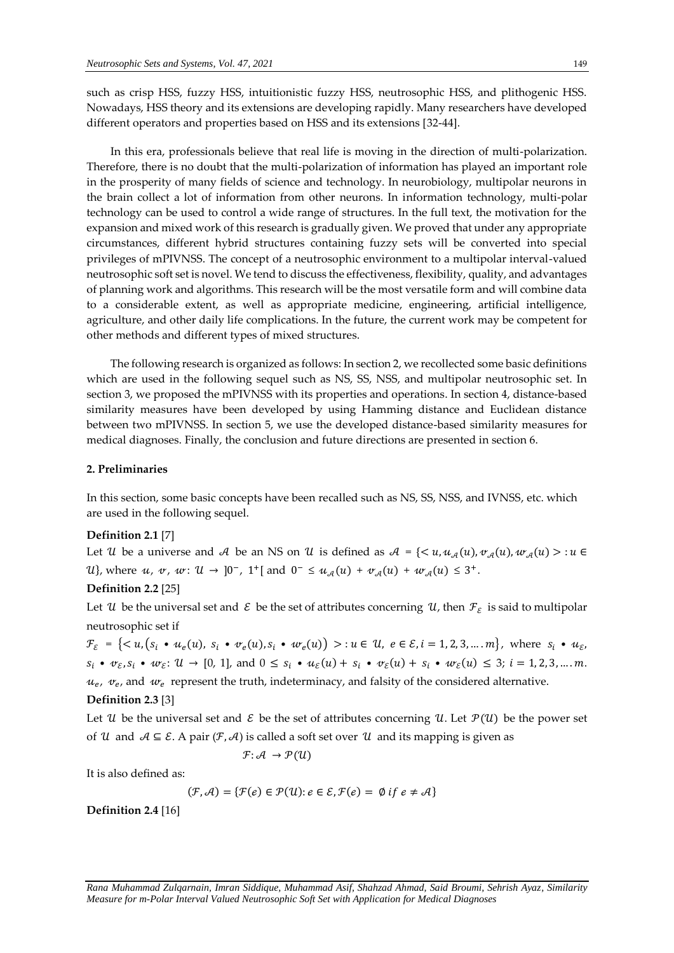such as crisp HSS, fuzzy HSS, intuitionistic fuzzy HSS, neutrosophic HSS, and plithogenic HSS. Nowadays, HSS theory and its extensions are developing rapidly. Many researchers have developed different operators and properties based on HSS and its extensions [32-44].

In this era, professionals believe that real life is moving in the direction of multi-polarization. Therefore, there is no doubt that the multi-polarization of information has played an important role in the prosperity of many fields of science and technology. In neurobiology, multipolar neurons in the brain collect a lot of information from other neurons. In information technology, multi-polar technology can be used to control a wide range of structures. In the full text, the motivation for the expansion and mixed work of this research is gradually given. We proved that under any appropriate circumstances, different hybrid structures containing fuzzy sets will be converted into special privileges of mPIVNSS. The concept of a neutrosophic environment to a multipolar interval-valued neutrosophic soft set is novel. We tend to discuss the effectiveness, flexibility, quality, and advantages of planning work and algorithms. This research will be the most versatile form and will combine data to a considerable extent, as well as appropriate medicine, engineering, artificial intelligence, agriculture, and other daily life complications. In the future, the current work may be competent for other methods and different types of mixed structures.

The following research is organized as follows: In section 2, we recollected some basic definitions which are used in the following sequel such as NS, SS, NSS, and multipolar neutrosophic set. In section 3, we proposed the mPIVNSS with its properties and operations. In section 4, distance-based similarity measures have been developed by using Hamming distance and Euclidean distance between two mPIVNSS. In section 5, we use the developed distance-based similarity measures for medical diagnoses. Finally, the conclusion and future directions are presented in section 6.

#### **2. Preliminaries**

In this section, some basic concepts have been recalled such as NS, SS, NSS, and IVNSS, etc. which are used in the following sequel.

#### **Definition 2.1** [7]

Let U be a universe and A be an NS on U is defined as  $A = \{ \langle u, u_A(u), v_A(u), w_A(u) \rangle : u \in$ *U*}, where *u*, *v*, *w*: *U* → ]0<sup>−</sup>, 1<sup>+</sup>[ and 0<sup>−</sup> ≤ *u*<sub>A</sub>(*u*) + *v*<sub>A</sub>(*u*) + *w*<sub>A</sub>(*u*) ≤ 3<sup>+</sup>.

# **Definition 2.2** [25]

Let  $u$  be the universal set and  $\epsilon$  be the set of attributes concerning  $u$ , then  $\tau_{\epsilon}$  is said to multipolar neutrosophic set if

 $\mathcal{F}_{\mathcal{E}}$  =  $\{< u, (s_i \bullet u_e(u), s_i \bullet v_e(u), s_i \bullet w_e(u)) > : u \in \mathcal{U}, e \in \mathcal{E}, i = 1, 2, 3, ..., m\},$  where  $s_i \bullet u_{\mathcal{E}},$  $s_i \bullet v_{\varepsilon}, s_i \bullet w_{\varepsilon}$ :  $\mathcal{U} \to [0, 1]$ , and  $0 \leq s_i \bullet u_{\varepsilon}(u) + s_i \bullet v_{\varepsilon}(u) + s_i \bullet w_{\varepsilon}(u) \leq 3$ ;  $i = 1, 2, 3, \dots, m$ .  $u_e$ ,  $v_e$ , and  $w_e$  represent the truth, indeterminacy, and falsity of the considered alternative.

## **Definition 2.3** [3]

Let U be the universal set and  $\mathcal E$  be the set of attributes concerning U. Let  $\mathcal P(U)$  be the power set of U and  $A \subseteq \mathcal{E}$ . A pair  $(\mathcal{F}, \mathcal{A})$  is called a soft set over U and its mapping is given as

$$
\mathcal{F}\colon \mathcal{A}\ \rightarrow \mathcal{P}(\mathcal{U})
$$

It is also defined as:

$$
(\mathcal{F}, \mathcal{A}) = \{ \mathcal{F}(e) \in \mathcal{P}(\mathcal{U}) : e \in \mathcal{E}, \mathcal{F}(e) = \emptyset \text{ if } e \neq \mathcal{A} \}
$$

**Definition 2.4** [16]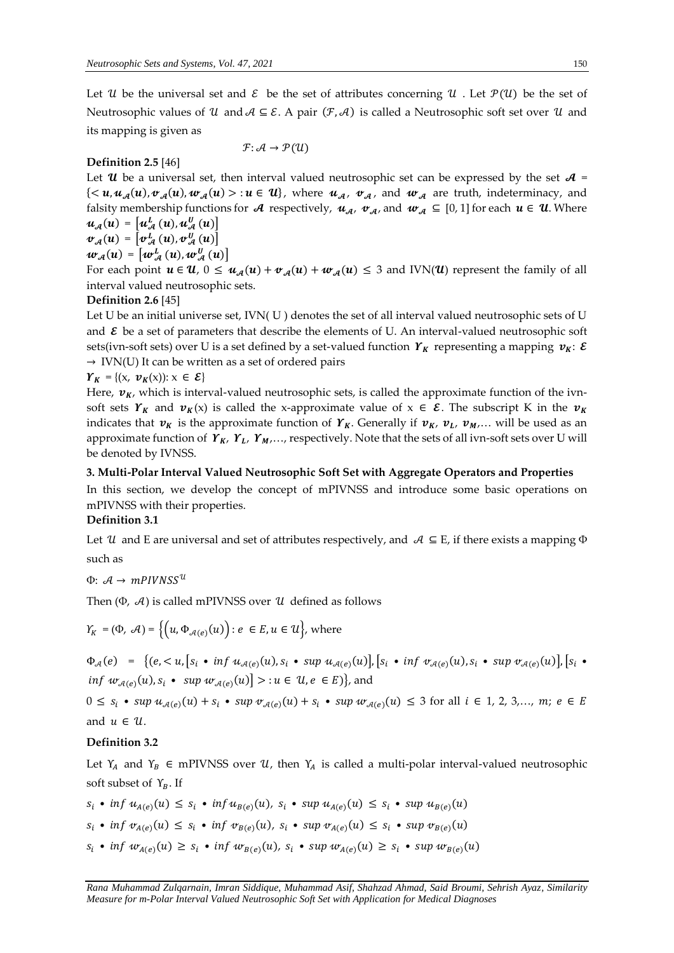Let U be the universal set and  $\mathcal E$  be the set of attributes concerning U. Let  $\mathcal P(\mathcal U)$  be the set of Neutrosophic values of  $\mathcal U$  and  $\mathcal A \subseteq \mathcal E$ . A pair  $(\mathcal F, \mathcal A)$  is called a Neutrosophic soft set over  $\mathcal U$  and its mapping is given as

### **Definition 2.5** [46]

Let **U** be a universal set, then interval valued neutrosophic set can be expressed by the set  $A =$  $\{<\mathbf{u}, \mathbf{u}_{\mathcal{A}}(\mathbf{u}), \mathbf{v}_{\mathcal{A}}(\mathbf{u}), \mathbf{w}_{\mathcal{A}}(\mathbf{u})>\}\mathbf{u}\in \mathbf{u}\}\$ , where  $\mathbf{u}_{\mathcal{A}}$ ,  $\mathbf{v}_{\mathcal{A}}$ , and  $\mathbf{w}_{\mathcal{A}}$  are truth, indeterminacy, and falsity membership functions for A respectively,  $u_{\mathcal{A}}$ ,  $v_{\mathcal{A}}$ , and  $w_{\mathcal{A}} \subseteq [0, 1]$  for each  $u \in \mathcal{U}$ . Where  $u_{\mathcal{A}}(u) = \left[ u_{\mathcal{A}}^{L}\left(u\right)\!,u_{\mathcal{A}}^{U}\left(u\right) \right]$ 

 $\mathcal{F}$ :  $\mathcal{A} \rightarrow \mathcal{P}(\mathcal{U})$ 

$$
\boldsymbol{\psi}_{\mathcal{A}}(u) = \left[\boldsymbol{\psi}_{\mathcal{A}}^{L}\left(u\right), \boldsymbol{\psi}_{\mathcal{A}}^{U}\left(u\right)\right] \\ \boldsymbol{w}_{\mathcal{A}}(u) = \left[w_{\mathcal{A}}^{U}\left(u\right), w_{\mathcal{A}}^{U}\left(u\right)\right]
$$

For each point  $u \in U$ ,  $0 \leq u_{\mathcal{A}}(u) + v_{\mathcal{A}}(u) + w_{\mathcal{A}}(u) \leq 3$  and IVN(U) represent the family of all interval valued neutrosophic sets.

#### **Definition 2.6** [45]

Let U be an initial universe set, IVN(U) denotes the set of all interval valued neutrosophic sets of U and  $\epsilon$  be a set of parameters that describe the elements of U. An interval-valued neutrosophic soft sets(ivn-soft sets) over U is a set defined by a set-valued function  $r_k$  representing a mapping  $v_k$ :  $\varepsilon$  $\rightarrow$  IVN(U) It can be written as a set of ordered pairs

$$
\boldsymbol{Y}_K = \{ (\boldsymbol{x}, \ \boldsymbol{v}_K(\boldsymbol{x})) : \boldsymbol{x} \in \boldsymbol{\mathcal{E}} \}
$$

Here,  $v_K$ , which is interval-valued neutrosophic sets, is called the approximate function of the ivnsoft sets  $\gamma_K$  and  $\nu_K(x)$  is called the x-approximate value of  $x \in \mathcal{E}$ . The subscript K in the  $\nu_K$ indicates that  $v_K$  is the approximate function of  $\gamma_K$ . Generally if  $v_K$ ,  $v_L$ ,  $v_M$ ,... will be used as an approximate function of  $\,Y_{K}$ ,  $\,Y_{L}$ ,  $\,Y_{M}$ ,..., respectively. Note that the sets of all ivn-soft sets over U will be denoted by IVNSS.

#### **3. Multi-Polar Interval Valued Neutrosophic Soft Set with Aggregate Operators and Properties**

In this section, we develop the concept of mPIVNSS and introduce some basic operations on mPIVNSS with their properties.

#### **Definition 3.1**

Let U and E are universal and set of attributes respectively, and  $\mathcal{A} \subseteq E$ , if there exists a mapping  $\Phi$ such as

#### $Φ: A \rightarrow mPIVNSS<sup>U</sup>$

Then ( $\Phi$ ,  $\mathcal{A}$ ) is called mPIVNSS over  $\mathcal U$  defined as follows

$$
Y_K = (\Phi, \mathcal{A}) = \left\{ \left( u, \Phi_{\mathcal{A}(e)}(u) \right) : e \in E, u \in \mathcal{U} \right\}, \text{where}
$$

$$
\Phi_{\mathcal{A}}(e) = \{ (e, < u, [s_i \bullet \inf u_{\mathcal{A}(e)}(u), s_i \bullet \sup u_{\mathcal{A}(e)}(u)], [s_i \bullet \inf v_{\mathcal{A}(e)}(u), s_i \bullet \sup v_{\mathcal{A}(e)}(u)], [s_i \bullet \inf w_{\mathcal{A}(e)}(u)], [s_i \bullet \inf w_{\mathcal{A}(e)}(u), s_i \bullet \sup w_{\mathcal{A}(e)}(u)] \} \}
$$

 $0 \leq s_i$  •  $sup \ u_{\mathcal{A}(e)}(u) + s_i$  •  $sup \ v_{\mathcal{A}(e)}(u) + s_i$  •  $sup \ w_{\mathcal{A}(e)}(u) \leq 3$  for all  $i \in 1, 2, 3,..., m$ ;  $e \in E$ and  $u \in U$ .

#### **Definition 3.2**

Let  $Y_A$  and  $Y_B \in m$ PIVNSS over  $U$ , then  $Y_A$  is called a multi-polar interval-valued neutrosophic soft subset of  $Y_B$ . If

 $s_i \bullet \inf u_{A(e)}(u) \leq s_i \bullet \inf u_{B(e)}(u)$ ,  $s_i \bullet \sup u_{A(e)}(u) \leq s_i \bullet \sup u_{B(e)}(u)$ 

$$
s_i \bullet \inf \, v_{A(e)}(u) \leq s_i \bullet \inf \, v_{B(e)}(u), \, s_i \bullet \sup \, v_{A(e)}(u) \leq s_i \bullet \sup \, v_{B(e)}(u)
$$

 $s_i \bullet \inf w_{A(e)}(u) \geq s_i \bullet \inf w_{B(e)}(u)$ ,  $s_i \bullet \sup w_{A(e)}(u) \geq s_i \bullet \sup w_{B(e)}(u)$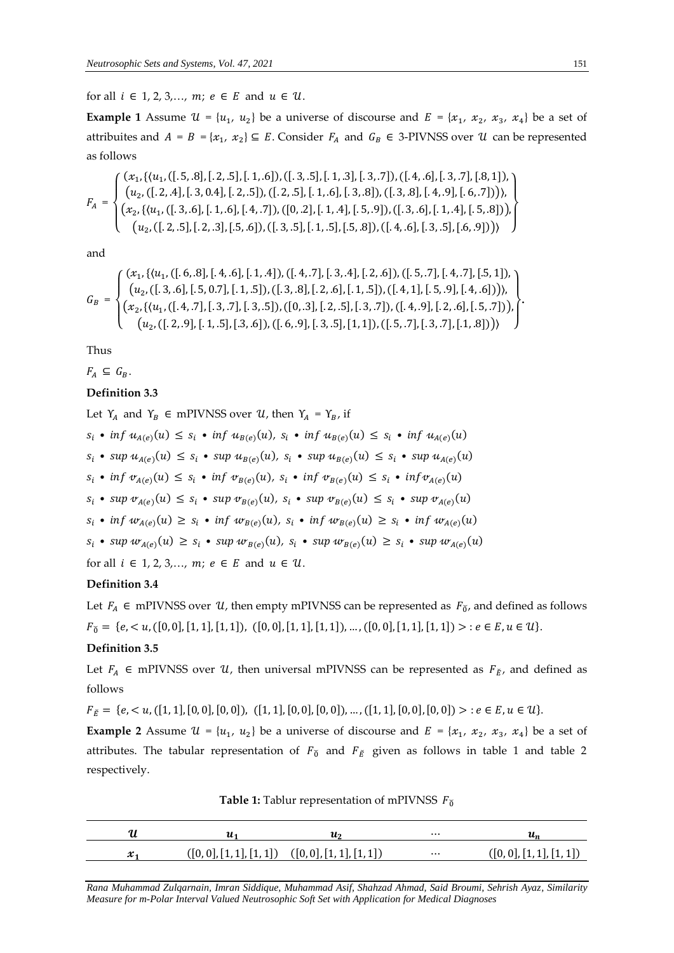for all  $i \in 1, 2, 3, \ldots, m$ ;  $e \in E$  and  $u \in \mathcal{U}$ .

**Example 1** Assume  $\mathcal{U} = \{u_1, u_2\}$  be a universe of discourse and  $E = \{x_1, x_2, x_3, x_4\}$  be a set of attribuites and  $A = B = \{x_1, x_2\} \subseteq E$ . Consider  $F_A$  and  $G_B \in 3$ -PIVNSS over  $U$  can be represented as follows

$$
F_A = \begin{cases} (x_1, \{(u_1, ([.5, .8], [.2, .5], [.1, .6]), ([.3, .5], [.1, .3], [.3, .7]), ([.4, .6], [.3, .7], [.8, 1]),\\ (u_2, ([.2, .4], [.3, 0.4], [.2, .5]), ([.2, .5], [.1, .6], [.3, .8]), ([.3, .8], [.4, .9], [.6, .7])),\\ (x_2, \{(u_1, ([.3, .6], [.1, .6], [.4, .7]), ([0, .2], [.1, .4], [.5, .9]), ([.3, .6], [.1, .4], [.5, .8])),\\ (u_2, ([.2, .5], [.2, .3], [.5, .6]), ([.3, .5], [.1, .5], [.5, .8]), ([.4, .6], [.3, .5], [.6, .9])) \end{cases}
$$

and

$$
G_B = \begin{cases} (x_1, \{(u_1, ([.6, .8], [.4, .6], [.1, .4]), ([.4, .7], [.3, .4], [.2, .6]), ([.5, .7], [.4, .7], [.5, 1]), \\ (u_2, ([.3, .6], [.5, 0.7], [.1, .5]), ([.3, .8], [.2, .6], [.1, .5]), ([.4, 1], [.5, .9], [.4, .6]))), \\ (x_2, \{(u_1, ([.4, .7], [.3, .7], [.3, .5]), ([0, .3], [.2, .5], [.3, .7]), ([.4, .9], [.2, .6], [.5, .7])), \\ (u_2, ([.2, .9], [.1, .5], [.3, .6]), ([.6, .9], [.3, .5], [1, 1]), ([.5, .7], [.3, .7], [.1, .8])) \end{cases}
$$

Thus

 $F_A \subseteq G_B$ .

## **Definition 3.3**

Let  $Y_A$  and  $Y_B \in m$ PIVNSS over  $U$ , then  $Y_A = Y_B$ , if  $s_i \bullet \inf u_{A(e)}(u) \leq s_i \bullet \inf u_{B(e)}(u)$ ,  $s_i \bullet \inf u_{B(e)}(u) \leq s_i \bullet \inf u_{A(e)}(u)$  $s_i$  • sup  $u_{A(e)}(u) \leq s_i$  • sup  $u_{B(e)}(u)$ ,  $s_i$  • sup  $u_{B(e)}(u) \leq s_i$  • sup  $u_{A(e)}(u)$  $s_i \bullet \inf \nu_{A(e)}(u) \leq s_i \bullet \inf \nu_{B(e)}(u)$ ,  $s_i \bullet \inf \nu_{B(e)}(u) \leq s_i \bullet \inf \nu_{A(e)}(u)$  $s_i$  • sup  $v_{A(e)}(u) \leq s_i$  • sup  $v_{B(e)}(u)$ ,  $s_i$  • sup  $v_{B(e)}(u) \leq s_i$  • sup  $v_{A(e)}(u)$  $s_i \bullet \inf w_{A(e)}(u) \geq s_i \bullet \inf w_{B(e)}(u)$ ,  $s_i \bullet \inf w_{B(e)}(u) \geq s_i \bullet \inf w_{A(e)}(u)$  $s_i$  • sup  $w_{A(e)}(u) \geq s_i$  • sup  $w_{B(e)}(u)$ ,  $s_i$  • sup  $w_{B(e)}(u) \geq s_i$  • sup  $w_{A(e)}(u)$ for all  $i \in 1, 2, 3, ..., m$ ;  $e \in E$  and  $u \in U$ .

### **Definition 3.4**

Let  $F_A \in$  mPIVNSS over  $U$ , then empty mPIVNSS can be represented as  $F_{\tilde{0}}$ , and defined as follows  $F_{\breve{0}} = \{e, < u, ([0, 0], [1, 1], [1, 1]), ([0, 0], [1, 1], [1, 1]), ..., ([0, 0], [1, 1], [1, 1]) > : e \in E, u \in U\}.$ 

### **Definition 3.5**

Let  $F_A \in$  mPIVNSS over  $U$ , then universal mPIVNSS can be represented as  $F_{\check{E}}$ , and defined as follows

$$
F_{\breve{E}} = \{e, < u, ([1, 1], [0, 0], [0, 0]), ([1, 1], [0, 0], [0, 0]), \dots, ([1, 1], [0, 0], [0, 0]) > : e \in E, u \in U\}.
$$

**Example 2** Assume  $\mathcal{U} = \{u_1, u_2\}$  be a universe of discourse and  $E = \{x_1, x_2, x_3, x_4\}$  be a set of attributes. The tabular representation of  $F_{\check{0}}$  and  $F_{\check{E}}$  given as follows in table 1 and table 2 respectively.

**Table 1:** Tablur representation of mPIVNSS  $F_{\delta}$ 

|         | uэ                                          | $\cdots$ |                          |
|---------|---------------------------------------------|----------|--------------------------|
| $x_{1}$ | $([0,0],[1,1],[1,1])$ $([0,0],[1,1],[1,1])$ | $\cdots$ | ([0, 0], [1, 1], [1, 1]) |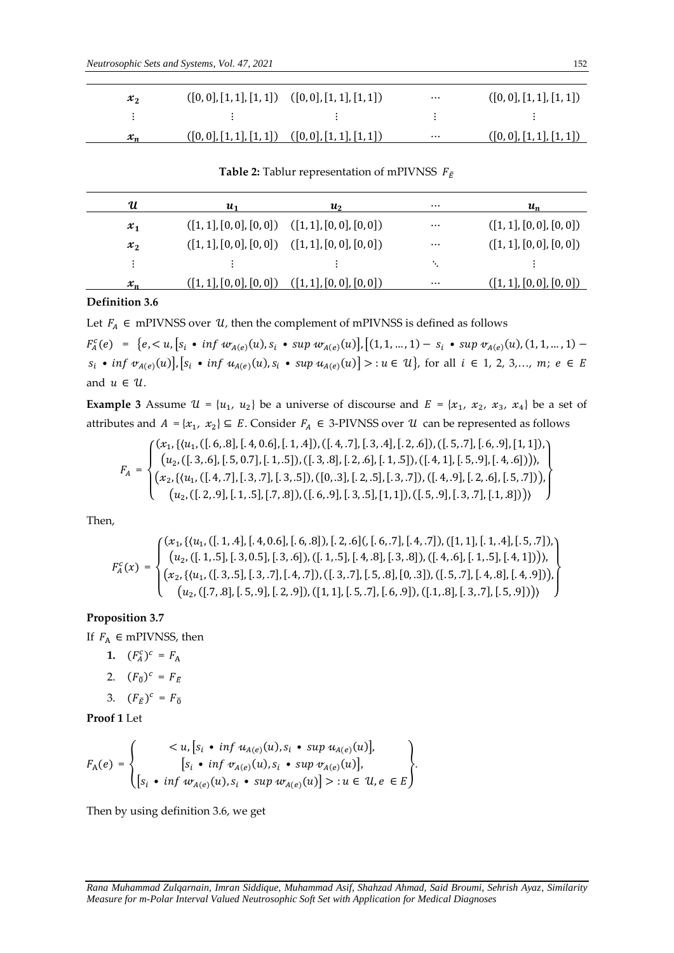| $x_2$   | $([0,0],[1,1],[1,1])$ $([0,0],[1,1],[1,1])$           | $\cdots$ | ([0, 0], [1, 1], [1, 1]) |
|---------|-------------------------------------------------------|----------|--------------------------|
|         |                                                       |          |                          |
| $x_{n}$ | $([0, 0], [1, 1], [1, 1])$ $([0, 0], [1, 1], [1, 1])$ | $\cdots$ | ([0, 0], [1, 1], [1, 1]) |

**Table 2:** Tablur representation of mPIVNSS  $F_{\breve{E}}$ 

| И     | U1                                                    | $\boldsymbol{u_2}$       | $\cdots$ | $u_n$                    |
|-------|-------------------------------------------------------|--------------------------|----------|--------------------------|
| $x_1$ | $([1, 1], [0, 0], [0, 0])$ $([1, 1], [0, 0], [0, 0])$ |                          | $\cdots$ | ([1, 1], [0, 0], [0, 0]) |
| $x_2$ | $([1, 1], [0, 0], [0, 0])$ $([1, 1], [0, 0], [0, 0])$ |                          | $\cdots$ | ([1, 1], [0, 0], [0, 0]) |
|       |                                                       |                          |          |                          |
| $x_n$ | ([1, 1], [0, 0], [0, 0])                              | (1, 1, 1, 0, 0, 1, 0, 0) | $\cdots$ | ([1, 1], [0, 0], [0, 0]) |

#### **Definition 3.6**

Let  $F_A \in$  mPIVNSS over  $U$ , then the complement of mPIVNSS is defined as follows

 $F_A^c(e) = \{e, \langle u, [s_i \bullet \inf w_{A(e)}(u), s_i \bullet \sup w_{A(e)}(u)], [(1, 1, ..., 1) - s_i \bullet \sup w_{A(e)}(u), (1, 1, ..., 1) - \sum_{i=1}^n a_i \cdot \inf w_{A(e)}(u),$  $s_i$  • inf  $v_{A(e)}(u)$ ,  $[s_i$  • inf  $u_{A(e)}(u), s_i$  • sup  $u_{A(e)}(u)$   $>$  :  $u \in U$ , for all  $i \in 1, 2, 3,..., m$ ;  $e \in E$ and  $u \in U$ .

**Example 3** Assume  $\mathcal{U} = \{u_1, u_2\}$  be a universe of discourse and  $E = \{x_1, x_2, x_3, x_4\}$  be a set of attributes and  $A = \{x_1, x_2\} \subseteq E$ . Consider  $F_A \in 3$ -PIVNSS over  $\mathcal U$  can be represented as follows

$$
F_A = \begin{cases} (x_1, \{(u_1, ([, 6, .8], [.4, 0.6], [.1, .4]), ([.4, .7], [.3, .4], [.2, .6]), ([.5, .7], [.6, .9], [1, 1]), \\ (u_2, ([.3, .6], [.5, 0.7], [.1, .5]), ([.3, .8], [.2, .6], [.1, .5]), ([.4, 1], [.5, .9], [.4, .6]))), \\ (x_2, \{(u_1, ([.4, .7], [.3, .7], [.3, .5]), ([0, .3], [.2, .5], [.3, .7]), ([.4, .9], [.2, .6], [.5, .7])) \end{cases}
$$
  

$$
(u_2, ([.2, .9], [.1, .5], [.7, .8]), ([.6, .9], [.3, .5], [1, 1]), ([.5, .9], [.3, .7], [.1, .8]))
$$

Then,

$$
F_A^c(x) = \begin{cases} (x_1, \{(u_1, ([. 1, .4], [. 4, 0.6], [. 6, .8]), [. 2, .6], [. [6, .7], [. 4, .7]), ([1, 1], [. 1, .4], [. 5, .7]), \\ (u_2, ([. 1, .5], [. 3, 0.5], [. 3, .6]), ([1, 1, .5], [. 4, .8], [. 3, .8]), ([. 4, .6], [. 1, .5], [. 4, 1]))), \\ (x_2, \{(u_1, ([. 3, .5], [. 3, .7], [. 4, .7]), ([1, 3, .7], [. 5, .8], [0, .3]), ([1, 5, .7], [. 4, .8], [. 4, .9]))), \\ (u_2, ([.7, .8], [. 5, .9], [. 2, .9]), ([1, 1], [. 5, .7], [. 6, .9]), ([1, .8], [.3, .7], [. 5, .9])) ) \end{cases}
$$

# **Proposition 3.7**

If  $F_A \in m$ PIVNSS, then

- **1.**  $(F_A^c)^c = F_A$
- 2.  $(F_{\check{0}})^c = F_{\check{E}}$
- 3.  $(F_E)^c = F_0$

**Proof 1** Let

$$
F_{A}(e) = \begin{cases} < u, [s_{i} \cdot \inf u_{A(e)}(u), s_{i} \cdot \sup u_{A(e)}(u)], \\ [s_{i} \cdot \inf v_{A(e)}(u), s_{i} \cdot \sup v_{A(e)}(u)], \\ [s_{i} \cdot \inf w_{A(e)}(u), s_{i} \cdot \sup w_{A(e)}(u)] > : u \in \mathcal{U}, e \in E \end{cases}.
$$

Then by using definition 3.6, we get

*Rana Muhammad Zulqarnain, Imran Siddique, Muhammad Asif, Shahzad Ahmad, Said Broumi, Sehrish Ayaz, Similarity Measure for m-Polar Interval Valued Neutrosophic Soft Set with Application for Medical Diagnoses*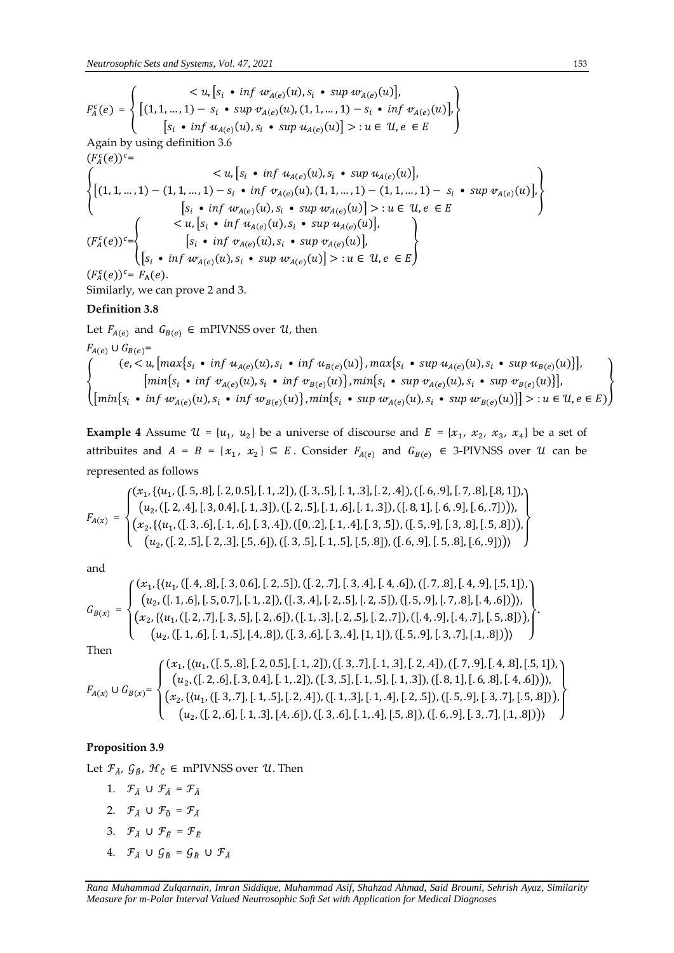$$
F_A^c(e) = \left\{ \begin{aligned} & < u, [s_i \cdot \inf w_{A(e)}(u), s_i \cdot \sup w_{A(e)}(u)], \\ & [1, 1, \dots, 1) - s_i \cdot \sup w_{A(e)}(u), (1, 1, \dots, 1) - s_i \cdot \inf w_{A(e)}(u)], \\ & [s_i \cdot \inf u_{A(e)}(u), s_i \cdot \sup u_{A(e)}(u)] > : u \in \mathcal{U}, e \in E \end{aligned} \right\}
$$

Again by using definition 3.6

$$
(F_A^c(e))^c = \{ u, [s_i \cdot \inf u_{A(e)}(u), s_i \cdot \sup u_{A(e)}(u)],
$$
  
\n
$$
\{(1, 1, ..., 1) - (1, 1, ..., 1) - s_i \cdot \inf v_{A(e)}(u), (1, 1, ..., 1) - (1, 1, ..., 1) - s_i \cdot \sup v_{A(e)}(u) \},
$$
  
\n
$$
[s_i \cdot \inf w_{A(e)}(u), s_i \cdot \sup w_{A(e)}(u)] >: u \in U, e \in E
$$
  
\n
$$
\{F_A^c(e))^c = \{ \begin{cases} < u, [s_i \cdot \inf u_{A(e)}(u), s_i \cdot \sup u_{A(e)}(u)], \\ & [s_i \cdot \inf v_{A(e)}(u), s_i \cdot \sup w_{A(e)}(u)], \\ & [s_i \cdot \inf w_{A(e)}(u), s_i \cdot \sup w_{A(e)}(u)] >: u \in U, e \in E \} \end{cases}
$$
  
\n
$$
(F_A^c(e))^c = F_A(e).
$$

Similarly, we can prove 2 and 3.

### **Definition 3.8**

Let  $F_{A(e)}$  and  $G_{B(e)} \in$  mPIVNSS over  $\mathcal{U}$ , then  $F_{A(e)} \cup G_{B(e)} =$ {  $(e, < u, \lfloor max \{s_i \cdot inf u_{A(e)}(u), s_i \cdot inf u_{B(e)}(u)\}, max\{s_i \cdot sup u_{A(e)}(u), s_i \cdot sup u_{B(e)}(u)\}\rfloor$  $\left[\min\{s_i \cdot \inf \nu_{A(e)}(u), s_i \cdot \inf \nu_{B(e)}(u)\}\right], \min\{s_i \cdot \sup \nu_{A(e)}(u), s_i \cdot \sup \nu_{B(e)}(u)\}\right],$  $\left[\min\{s_i \cdot \inf w_{A(e)}(u), s_i \cdot \inf w_{B(e)}(u)\}\right], \min\{s_i \cdot \sup w_{A(e)}(u), s_i \cdot \sup w_{B(e)}(u)\}\right] > u \in \mathcal{U}, e \in E)$ }

**Example 4** Assume  $\mathcal{U} = \{u_1, u_2\}$  be a universe of discourse and  $E = \{x_1, x_2, x_3, x_4\}$  be a set of attribuites and  $A = B = \{x_1, x_2\} \subseteq E$ . Consider  $F_{A(e)}$  and  $G_{B(e)} \in 3$ -PIVNSS over U can be represented as follows

$$
F_{A(x)} = \begin{cases} (x_1, \{(u_1, ([, 5, .8], [.2, 0.5], [.1, .2]), ([.3, .5], [.1, .3], [.2, .4]), ([.6, .9], [.7, .8], [.8, 1]),\\ (u_2, ([.2, .4], [.3, 0.4], [.1, .3]), ([.2, .5], [.1, .6], [.1, .3]), ([.8, 1], [.6, .9], [.6, .7]))),\\ (x_2, \{(u_1, ([.3, .6], [.1, .6], [.3, .4]), ([0, .2], [.1, .4], [.3, .5]), ([.5, .9], [.3, .8], [.5, .8]))\\ (u_2, ([.2, .5], [.2, .3], [.5, .6]), ([.3, .5], [.1, .5], [.5, .8]), ([.6, .9], [.5, .8], [.6, .9])) \end{cases}
$$

and

$$
G_{B(x)} = \begin{cases} (x_1, \{(u_1, ([.4, .8], [.3, 0.6], [.2, .5]), ([.2, .7], [.3, .4], [.4, .6]), ([.7, .8], [.4, .9], [.5, 1]), \\ (u_2, ([.1, .6], [.5, 0.7], [.1, .2]), ([.3, .4], [.2, .5], [.2, .5]), ([.5, .9], [.7, .8], [.4, .6])) \end{cases}
$$

$$
(x_2, \{(u_1, ([.2, .7], [.3, .5], [.2, .6]), ([.1, .3], [.2, .5], [.2, .7]), ([.4, .9], [.4, .7], [.5, .8]))
$$

$$
(u_2, ([.1, .6], [.1, .5], [.4, .8]), ([.3, .6], [.3, .4], [1, 1]), ([.5, .9], [.3, .7], [.1, .8])) \end{cases}
$$

Then

$$
F_{A(x)} \cup G_{B(x)} = \begin{cases} (x_1, \{(u_1, ([.5, .8], [.2, 0.5], [.1, .2]), ([.3, .7], [.1, .3], [.2, .4]), ([.7, .9], [.4, .8], [.5, 1]), \\ (u_2, ([.2, .6], [.3, 0.4], [.1, .2]), ([.3, .5], [.1, .5], [.1, .3]), ([.8, 1], [.6, .8], [.4, .6]))), \\ (x_2, \{(u_1, ([.3, .7], [.1, .5], [.2, .4]), ([.1, .3], [.1, .4], [.2, .5]), ([.5, .9], [.3, .7], [.5, .8]))), \\ (u_2, ([.2, .6], [.1, .3], [.4, .6]), ([.3, .6], [.1, .4], [.5, .8]), ([.6, .9], [.3, .7], [.1, .8])) \end{cases}
$$

### **Proposition 3.9**

Let  $\mathcal{F}_{\check{A}}$ ,  $\mathcal{G}_{\check{B}}$ ,  $\mathcal{H}_{\check{C}}$   $\in$  mPIVNSS over  $\mathcal{U}$ . Then

- 1.  $\mathcal{F}_{\breve{A}} \cup \mathcal{F}_{\breve{A}} = \mathcal{F}_{\breve{A}}$
- 2.  $\mathcal{F}_{\breve{A}} \cup \mathcal{F}_{\breve{0}} = \mathcal{F}_{\breve{A}}$
- 3.  $\mathcal{F}_{\breve{A}} \cup \mathcal{F}_{\breve{F}} = \mathcal{F}_{\breve{F}}$
- 4.  $\mathcal{F}_{\breve{A}} \cup \mathcal{G}_{\breve{B}} = \mathcal{G}_{\breve{B}} \cup \mathcal{F}_{\breve{A}}$

**.**

*Rana Muhammad Zulqarnain, Imran Siddique, Muhammad Asif, Shahzad Ahmad, Said Broumi, Sehrish Ayaz, Similarity Measure for m-Polar Interval Valued Neutrosophic Soft Set with Application for Medical Diagnoses*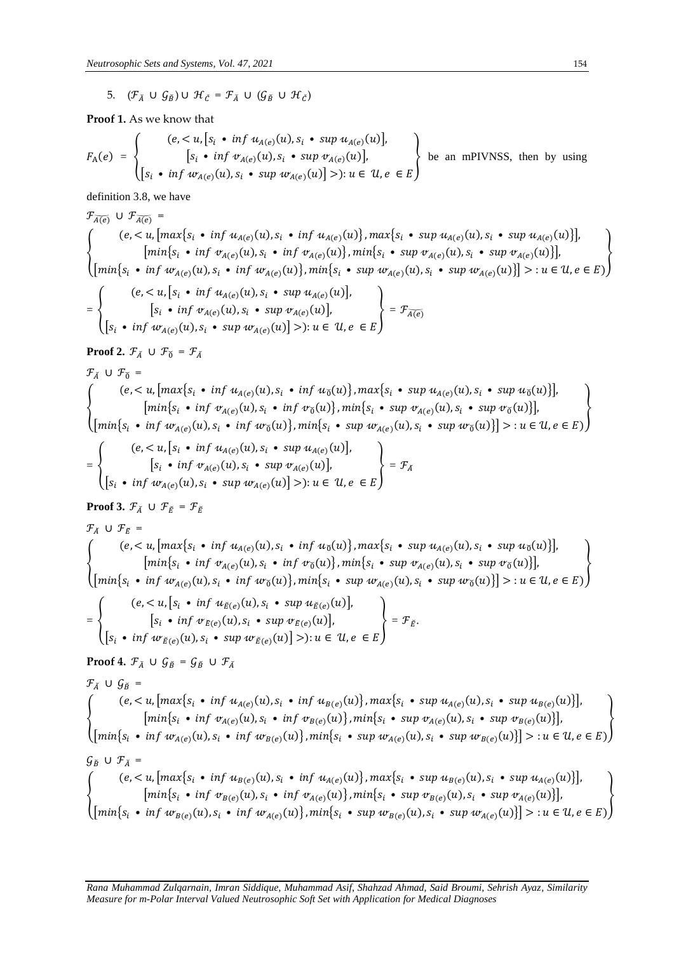5.  $(\mathcal{F}_{\check{A}} \cup \mathcal{G}_{\check{B}}) \cup \mathcal{H}_{\check{C}} = \mathcal{F}_{\check{A}} \cup (\mathcal{G}_{\check{B}} \cup \mathcal{H}_{\check{C}})$ 

**Proof 1.** As we know that

$$
F_{A}(e) = \begin{cases} (e, < u, [s_i \bullet \inf u_{A(e)}(u), s_i \bullet \sup u_{A(e)}(u)], \\ [s_i \bullet \inf v_{A(e)}(u), s_i \bullet \sup v_{A(e)}(u)], \\ [s_i \bullet \inf w_{A(e)}(u), s_i \bullet \sup w_{A(e)}(u)] >): u \in u, e \in E \end{cases}
$$
 be an mPIVNSS, then by using

definition 3.8, we have

 $\mathcal{F}_{\overline{A(e)}} \cup \mathcal{F}_{\overline{A(e)}}$  = (e, < u,  $\left[\max\{s_i \cdot \inf u_{A(e)}(u), s_i \cdot \inf u_{A(e)}(u)\}\right]$ ,  $\max\{s_i \cdot \sup u_{A(e)}(u), s_i \cdot \sup u_{A(e)}(u)\}\right]$ ,<br>  $\left[\min\{s_i \cdot \inf v_{A(e)}(u), s_i \cdot \inf v_{A(e)}(u)\}\right]$ ,  $\min\{s_i \cdot \sup v_{A(e)}(u), s_i \cdot \sup w_{A(e)}(u), s_i \cdot \sup w_{A(e)}(u)\}\right]$ ,<br>  $\left[\min\{s_i \cdot \inf w_{A(e)}(u), s_i \cdot \inf w_{A(e)}(u)\}\$ (  $(e, < u, [s_i \cdot \inf u_{A(e)}(u), s_i \cdot \sup u_{A(e)}(u)],$ 

$$
\left\{\n\begin{array}{l}\n[s_i \cdot \inf \, v_{A(e)}(u), s_i \cdot \sup w_{A(e)}(u)\n\end{array}\n\right\} = \mathcal{F}_{\widetilde{A(e)}}\n\left\{\n\begin{array}{l}\n s_i \cdot \inf w_{A(e)}(u), s_i \cdot \sup w_{A(e)}(u)\n\end{array}\n\right\} = \mathcal{F}_{\widetilde{A(e)}}\n\end{array}
$$

**Proof 2.**  $\mathcal{F}_{\check{A}} \cup \mathcal{F}_{\check{0}} = \mathcal{F}_{\check{A}}$ 

$$
\mathcal{F}_{\lambda} \cup \mathcal{F}_{\delta} =
$$
\n
$$
\begin{Bmatrix}\n(e, < u, [max\{s_i \cdot \inf u_{A(e)}(u), s_i \cdot \inf u_{\delta}(u)\}, max\{s_i \cdot \sup u_{A(e)}(u), s_i \cdot \sup u_{\delta}(u)\}], \\
[min\{s_i \cdot \inf v_{A(e)}(u), s_i \cdot \inf v_{\delta}(u)\}, min\{s_i \cdot \sup v_{A(e)}(u), s_i \cdot \sup w_{\delta}(u)\}], \\
[min\{s_i \cdot \inf w_{A(e)}(u), s_i \cdot \inf w_{\delta}(u)\}, min\{s_i \cdot \sup w_{A(e)}(u), s_i \cdot \sup w_{\delta}(u)\}] > : u \in \mathcal{U}, e \in E)\n\end{Bmatrix}
$$

$$
= \left\{\n\begin{array}{l}\n(e, < u, [s_i \bullet \inf u_{A(e)}(u), s_i \bullet \sup u_{A(e)}(u)], \\
[s_i \bullet \inf v_{A(e)}(u), s_i \bullet \sup v_{A(e)}(u)], \\
[s_i \bullet \inf u_{A(e)}(u), s_i \bullet \sup u_{A(e)}(u)] > \n\end{array}\n\right\} = \mathcal{F}_{\check{A}}
$$

**Proof 3.**  $\mathcal{F}_{\breve{A}} \cup \mathcal{F}_{\breve{E}} = \mathcal{F}_{\breve{E}}$ 

$$
\mathcal{F}_{\tilde{A}} \cup \mathcal{F}_{\tilde{E}} = \left\{ \begin{array}{l} (e, < u, [\max\{s_i \bullet \inf u_{A(e)}(u), s_i \bullet \inf u_{\tilde{0}}(u)\}, \max\{s_i \bullet \sup u_{A(e)}(u), s_i \bullet \sup u_{\tilde{0}}(u)\}], \\ [mink_{\tilde{S}_i} \bullet \inf v_{A(e)}(u), s_i \bullet \inf v_{\tilde{0}}(u)\}, \min\{s_i \bullet \sup w_{A(e)}(u), s_i \bullet \sup w_{\tilde{0}}(u)\}], \\ [mink_{\tilde{S}_i} \bullet \inf w_{A(e)}(u), s_i \bullet \inf w_{\tilde{0}}(u)\}, \min\{s_i \bullet \sup w_{A(e)}(u), s_i \bullet \sup w_{\tilde{0}}(u)\}] > : u \in \mathcal{U}, e \in E) \end{array} \right\}
$$
\n
$$
= \left\{ \begin{array}{l} (e, < u, [s_i \bullet \inf u_{\tilde{E}(e)}(u), s_i \bullet \sup u_{\tilde{E}(e)}(u)], \\ [s_i \bullet \inf v_{\tilde{E}(e)}(u), s_i \bullet \sup w_{\tilde{E}(e)}(u)] > : u \in \mathcal{U}, e \in E \end{array} \right\} = \mathcal{F}_{\tilde{E}}.
$$
\n**Proof 4.**  $\mathcal{F}_{\tilde{A}} \cup \mathcal{G}_{\tilde{B}} = \mathcal{G}_{\tilde{B}} \cup \mathcal{F}_{\tilde{A}}$ \n
$$
\mathcal{F}_{\tilde{A}} \cup \mathcal{G}_{\tilde{B}} = \begin{array}{l} (e, < u, [\max\{s_i \bullet \inf u_{A(e)}(u), s_i \bullet \sup w_{\tilde{E}(e)}(u)] > : u \in \mathcal{U}, e \in E \end{array} \right\}
$$
\n
$$
= \begin{array}{l} \text{Proof 4. } \mathcal{F}_{\tilde{A}} \cup \mathcal{G}_{\tilde{B}} = \begin{array}{l} (e, < u, [\max\{s_i \bullet \inf u_{A(e)}(u), s_i \bullet \sup w_{\tilde{E}(e)}(u)] > : u \in \mathcal{U}, e \in E \end{array} \end{array
$$

$$
G_{\tilde{B}} \cup \mathcal{F}_{\tilde{A}} = \left\{ \begin{array}{l} (e, < u, [max\{s_i \cdot \inf u_{B(e)}(u), s_i \cdot \inf u_{A(e)}(u)\}, max\{s_i \cdot \sup u_{B(e)}(u), s_i \cdot \sup u_{B(e)}(u)\}], \\ [min\{s_i \cdot \inf v_{B(e)}(u), s_i \cdot \inf v_{A(e)}(u)\}, min\{s_i \cdot \sup v_{B(e)}(u), s_i \cdot \sup v_{A(e)}(u)\}], \\ [min\{s_i \cdot \inf w_{B(e)}(u), s_i \cdot \inf w_{A(e)}(u)\}, min\{s_i \cdot \sup w_{B(e)}(u), s_i \cdot \sup w_{A(e)}(u)\}]\end{array} \right\}
$$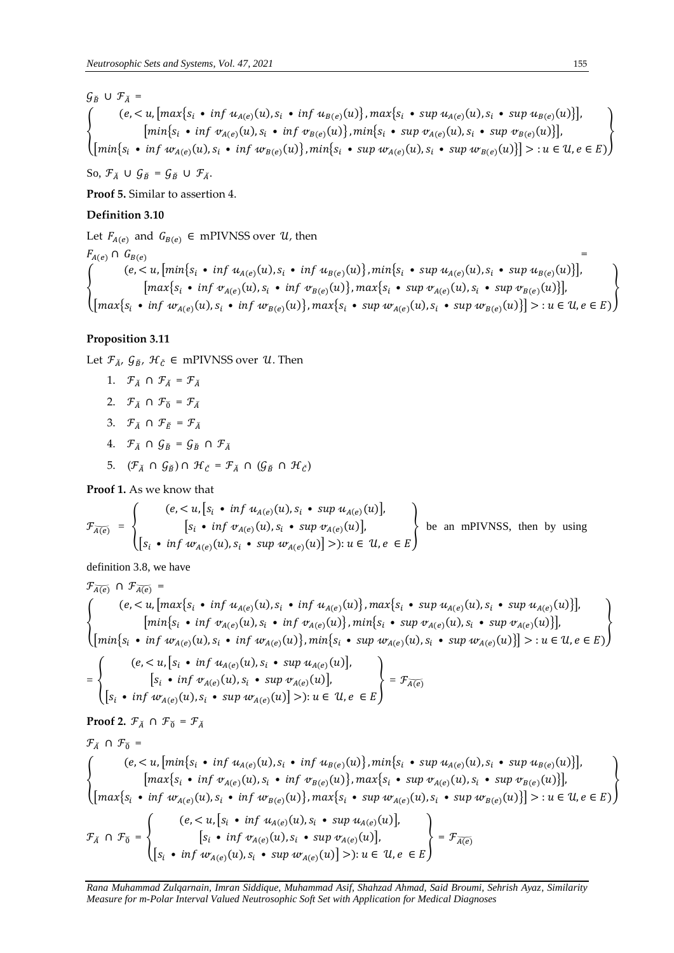$G_{\breve{B}} \cup \mathcal{F}_{\breve{A}} =$ {  $(e, < u, \lfloor max\{s_i \cdot inf u_{A(e)}(u), s_i \cdot inf u_{B(e)}(u)\}, max\{s_i \cdot sup u_{A(e)}(u), s_i \cdot sup u_{B(e)}(u)\}\rfloor$  $\left[\min\{s_i \cdot \inf \nu_{A(e)}(u), s_i \cdot \inf \nu_{B(e)}(u)\}\right], \min\{s_i \cdot \sup \nu_{A(e)}(u), s_i \cdot \sup \nu_{B(e)}(u)\}\right],$  $\left[\min\{s_i \cdot \inf w_{A(e)}(u), s_i \cdot \inf w_{B(e)}(u)\}\right], \min\{s_i \cdot \sup w_{A(e)}(u), s_i \cdot \sup w_{B(e)}(u)\}\right] > u \in \mathcal{U}, e \in E)$ }

So,  $\mathcal{F}_{\breve{A}} \cup \mathcal{G}_{\breve{B}} = \mathcal{G}_{\breve{B}} \cup \mathcal{F}_{\breve{A}}.$ 

**Proof 5.** Similar to assertion 4.

# **Definition 3.10**

Let  $F_{A(e)}$  and  $G_{B(e)} \in$  mPIVNSS over  $\mathcal{U}$ , then

 $F_{A(e)} \cap G_{B(e)}$  = {  $(e, < u, \lfloor min\{s_i \cdot inf u_{A(e)}(u), s_i \cdot inf u_{B(e)}(u)\}\$ ,  $min\{s_i \cdot sup u_{A(e)}(u), s_i \cdot sup u_{B(e)}(u)\}\rfloor$  $\left[\max\{s_i \bullet \inf \, v_{A(e)}(u), s_i \bullet \inf \, v_{B(e)}(u)\right\}, \max\{s_i \bullet \sup \, v_{A(e)}(u), s_i \bullet \sup \, v_{B(e)}(u)\}\right],$  $\left[\max\{s_i\bullet\inf w_{A(e)}(u),s_i\bullet\inf w_{B(e)}(u)\},\max\{s_i\bullet\sup w_{A(e)}(u),s_i\bullet\sup w_{B(e)}(u)\}\right] >: u\in\mathcal{U},e\in E)$ }

# **Proposition 3.11**

Let  $\mathcal{F}_{\check{A}}$ ,  $\mathcal{G}_{\check{B}}$ ,  $\mathcal{H}_{\check{C}}$   $\in$  mPIVNSS over  $\mathcal{U}$ . Then

- 1.  $\mathcal{F}_{\breve{A}} \cap \mathcal{F}_{\breve{A}} = \mathcal{F}_{\breve{A}}$
- 2.  $\mathcal{F}_\lambda \cap \mathcal{F}_\delta = \mathcal{F}_\lambda$
- 3.  $\mathcal{F}_\lambda \cap \mathcal{F}_\beta = \mathcal{F}_\lambda$
- 4.  $\mathcal{F}_{\breve{A}} \cap \mathcal{G}_{\breve{B}} = \mathcal{G}_{\breve{B}} \cap \mathcal{F}_{\breve{A}}$
- 5.  $(\mathcal{F}_{\breve{A}} \cap \mathcal{G}_{\breve{B}}) \cap \mathcal{H}_{\breve{C}} = \mathcal{F}_{\breve{A}} \cap (\mathcal{G}_{\breve{B}} \cap \mathcal{H}_{\breve{C}})$

**Proof 1.** As we know that

$$
\mathcal{F}_{\overline{A(e)}} = \begin{Bmatrix} (e, < u, [s_i \cdot \inf u_{A(e)}(u), s_i \cdot \sup u_{A(e)}(u)], \\ [s_i \cdot \inf v_{A(e)}(u), s_i \cdot \sup v_{A(e)}(u)], \\ [s_i \cdot \inf w_{A(e)}(u), s_i \cdot \sup w_{A(e)}(u)] \geq \big) : u \in \mathcal{U}, e \in E \end{Bmatrix}
$$
 be an mPVNSS, then by using

definition 3.8, we have

$$
\mathcal{F}_{\overline{A(e)}} \cap \mathcal{F}_{\overline{A(e)}} =
$$
\n
$$
\begin{cases}\n(e, < u, \left[\max\{s_i \cdot \inf u_{A(e)}(u), s_i \cdot \inf u_{A(e)}(u)\}, \max\{s_i \cdot \sup u_{A(e)}(u), s_i \cdot \sup u_{A(e)}(u)\}\right], \\
\left[\min\{s_i \cdot \inf w_{A(e)}(u), s_i \cdot \inf w_{A(e)}(u)\}, \min\{s_i \cdot \sup w_{A(e)}(u), s_i \cdot \sup w_{A(e)}(u)\}\right], \\
\left[\min\{s_i \cdot \inf w_{A(e)}(u), s_i \cdot \inf w_{A(e)}(u)\}, \min\{s_i \cdot \sup w_{A(e)}(u), s_i \cdot \sup w_{A(e)}(u)\}\right] > : u \in \mathcal{U}, e \in E\n\end{cases}
$$
\n
$$
= \begin{cases}\n(e, < u, \left[s_i \cdot \inf u_{A(e)}(u), s_i \cdot \sup u_{A(e)}(u)\right], \\
\left[s_i \cdot \inf w_{A(e)}(u), s_i \cdot \sup w_{A(e)}(u)\right], \\
\left[s_i \cdot \inf w_{A(e)}(u), s_i \cdot \sup w_{A(e)}(u)\right] > : u \in \mathcal{U}, e \in E\n\end{cases}
$$
\nProof 2.  $\mathcal{F}_{\tilde{A}} \cap \mathcal{F}_{\tilde{0}} = \mathcal{F}_{\tilde{A}}$ \n
$$
\mathcal{F}_{\tilde{A}} \cap \mathcal{F}_{\tilde{0}} = \begin{cases}\n(e, < u, \left[\min\{s_i \cdot \inf u_{A(e)}(u), s_i \cdot \inf u_{B(e)}(u)\}\right], \min\{s_i \cdot \sup u_{A(e)}(u), s_i \cdot \sup u_{B(e)}(u)\}\right], \\
\left[\max\{s_i \cdot \inf w_{A(e)}(u), s_i \cdot \inf w_{B(e)}(u)\}\right], \max\{s_i \cdot \sup w_{A(e)}(u), s_i \cdot \sup w_{B(e)}(u)\}\right], \\
\left[\max\{s_i \cdot \inf w_{A(e)}(u), s_i \cdot \inf w_{B(e)}(u)\}\right], \max\{s_i \cdot \sup w_{A(e)}(u), s_i \cdot \sup w_{B(e)}(u)\}\right] > : u \in \mathcal{U}, e \in
$$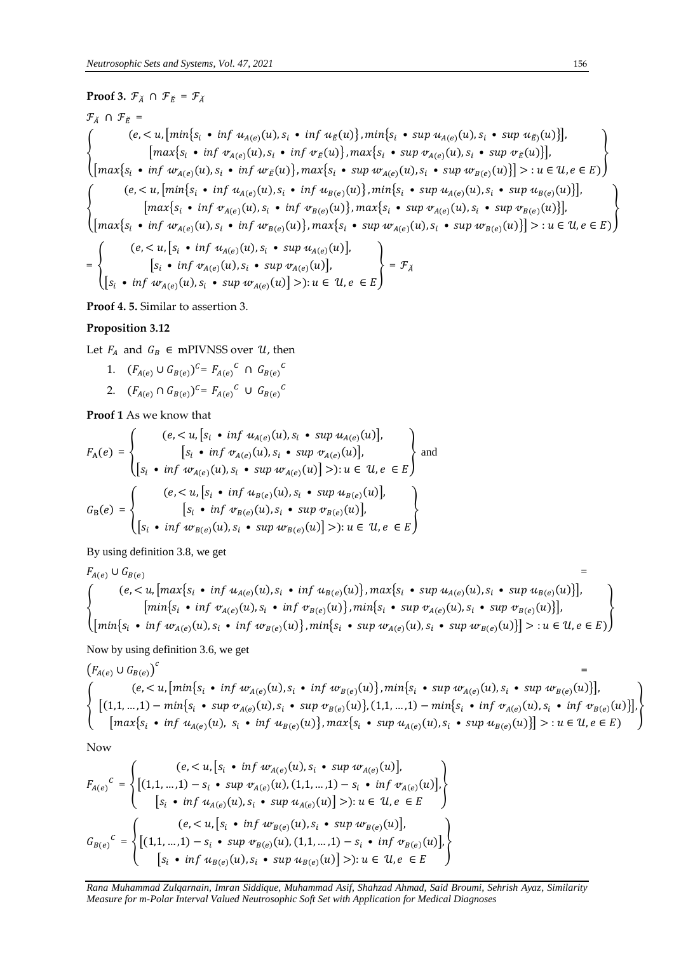# **Proof 3.**  $\mathcal{F}_{\check{A}} \cap \mathcal{F}_{\check{E}} = \mathcal{F}_{\check{A}}$

$$
\mathcal{F}_{\lambda} \cap \mathcal{F}_{\tilde{E}} =
$$
\n
$$
\begin{cases}\n(e, < u, [\min\{s_i \cdot \inf u_{A(e)}(u), s_i \cdot \inf u_{\tilde{E}}(u)\}, \min\{s_i \cdot \sup u_{A(e)}(u), s_i \cdot \sup u_{\tilde{E}}(u)\}], \\
[\max\{s_i \cdot \inf v_{A(e)}(u), s_i \cdot \inf v_{\tilde{E}}(u)\}, \max\{s_i \cdot \sup v_{A(e)}(u), s_i \cdot \sup v_{\tilde{E}}(u)\}], \\
[\max\{s_i \cdot \inf w_{A(e)}(u), s_i \cdot \inf w_{\tilde{E}}(u)\}, \max\{s_i \cdot \sup w_{A(e)}(u), s_i \cdot \sup w_{B(e)}(u)\}] > : u \in \mathcal{U}, e \in E)\n\end{cases}
$$
\n
$$
\begin{cases}\n(e, < u, [\min\{s_i \cdot \inf u_{A(e)}(u), s_i \cdot \inf u_{B(e)}(u)\}, \min\{s_i \cdot \sup u_{A(e)}(u), s_i \cdot \sup u_{B(e)}(u)\}]. \\
[\max\{s_i \cdot \inf v_{A(e)}(u), s_i \cdot \inf v_{B(e)}(u)\}, \max\{s_i \cdot \sup w_{A(e)}(u), s_i \cdot \sup w_{B(e)}(u)\}], \\
[\max\{s_i \cdot \inf w_{A(e)}(u), s_i \cdot \inf w_{B(e)}(u)\}, \max\{s_i \cdot \sup w_{A(e)}(u), s_i \cdot \sup w_{B(e)}(u)\}] > : u \in \mathcal{U}, e \in E)\n\end{cases}
$$
\n
$$
\begin{cases}\n(e, < u, [s_i \cdot \inf u_{A(e)}(u), s_i \cdot \sup u_{A(e)}(u)], \\
(e, < u, [s_i \cdot \inf u_{A(e)}(u), s_i \cdot \sup u_{A(e)}(u)],\n\end{cases}
$$

$$
= \left\{\n\begin{aligned}\n\left[s_i \cdot \inf \, \mathcal{V}_{A(e)}(u), s_i \cdot \sup w_{A(e)}(u)\right], \\
\left[s_i \cdot \inf w_{A(e)}(u), s_i \cdot \sup w_{A(e)}(u)\right] > \n\end{aligned}\n\right\} = \mathcal{F}_{\check{A}}
$$

**Proof 4. 5.** Similar to assertion 3.

### **Proposition 3.12**

Let  $F_A$  and  $G_B \in m$ PIVNSS over  $\mathcal{U}$ , then

- 1.  $(F_{A(e)} \cup G_{B(e)})^c = F_{A(e)}^c \cap G_{B(e)}^c$
- 2.  $(F_{A(e)} \cap G_{B(e)})^c = F_{A(e)}^c \cup G_{B(e)}^c$

**Proof 1** As we know that

$$
F_{A}(e) = \begin{cases} (e, < u, [s_{i} \cdot \inf u_{A(e)}(u), s_{i} \cdot \sup u_{A(e)}(u)], \\ [s_{i} \cdot \inf w_{A(e)}(u), s_{i} \cdot \sup w_{A(e)}(u)], \\ [s_{i} \cdot \inf w_{A(e)}(u), s_{i} \cdot \sup w_{A(e)}(u)] >): u \in U, e \in E \end{cases}
$$
 and 
$$
G_{B}(e) = \begin{cases} (e, < u, [s_{i} \cdot \inf u_{B(e)}(u), s_{i} \cdot \sup u_{B(e)}(u)], \\ [s_{i} \cdot \inf w_{B(e)}(u), s_{i} \cdot \sup w_{B(e)}(u)], \\ [s_{i} \cdot \inf w_{B(e)}(u), s_{i} \cdot \sup w_{B(e)}(u)] >): u \in U, e \in E \end{cases}
$$

By using definition 3.8, we get

$$
F_{A(e)} \cup G_{B(e)} =
$$
\n
$$
\begin{cases}\n(e, < u, \left[ \max \{ s_i \cdot \inf u_{A(e)}(u), s_i \cdot \inf u_{B(e)}(u) \}, \max \{ s_i \cdot \sup u_{A(e)}(u), s_i \cdot \sup u_{B(e)}(u) \} \right], \\
\left[ \min \{ s_i \cdot \inf v_{A(e)}(u), s_i \cdot \inf v_{B(e)}(u) \}, \min \{ s_i \cdot \sup v_{A(e)}(u), s_i \cdot \sup v_{B(e)}(u) \} \right], \\
\left[ \min \{ s_i \cdot \inf w_{A(e)}(u), s_i \cdot \inf w_{B(e)}(u) \}, \min \{ s_i \cdot \sup w_{A(e)}(u), s_i \cdot \sup w_{B(e)}(u) \} \right] > : u \in \mathcal{U}, e \in E \}\n\end{cases}
$$

Now by using definition 3.6, we get

$$
(F_{A(e)} \cup G_{B(e)})^c =
$$
\n
$$
\begin{cases}\n(e, < u, [\min\{s_i \cdot \inf w_{A(e)}(u), s_i \cdot \inf w_{B(e)}(u)\}, \min\{s_i \cdot \sup w_{A(e)}(u), s_i \cdot \sup w_{B(e)}(u)\}], \\
[ (1, 1, \dots, 1) - \min\{s_i \cdot \sup w_{A(e)}(u), s_i \cdot \sup w_{B(e)}(u)\}, (1, 1, \dots, 1) - \min\{s_i \cdot \inf w_{A(e)}(u), s_i \cdot \inf w_{B(e)}(u)\}], \\
[\max\{s_i \cdot \inf u_{A(e)}(u), s_i \cdot \inf u_{B(e)}(u)\}, \max\{s_i \cdot \sup u_{A(e)}(u), s_i \cdot \sup u_{B(e)}(u)\}] > : u \in \mathcal{U}, e \in E)\n\end{cases}
$$

Now

$$
F_{A(e)}^c = \begin{cases} (e, < u, [s_i \cdot \inf w_{A(e)}(u), s_i \cdot \sup w_{A(e)}(u)], \\ \big[ (1, 1, \ldots, 1) - s_i \cdot \sup w_{A(e)}(u), (1, 1, \ldots, 1) - s_i \cdot \inf w_{A(e)}(u) \big], \\ [s_i \cdot \inf u_{A(e)}(u), s_i \cdot \sup u_{A(e)}(u) \big] > \big): u \in \mathcal{U}, e \in E \end{cases}
$$
\n
$$
G_{B(e)}^c = \begin{cases} (e, < u, [s_i \cdot \inf w_{B(e)}(u), s_i \cdot \sup w_{B(e)}(u)], \\ \big[ (1, 1, \ldots, 1) - s_i \cdot \sup w_{B(e)}(u), (1, 1, \ldots, 1) - s_i \cdot \inf w_{B(e)}(u) \big], \\ [s_i \cdot \inf u_{B(e)}(u), s_i \cdot \sup u_{B(e)}(u) \big] > \big): u \in \mathcal{U}, e \in E \end{cases}
$$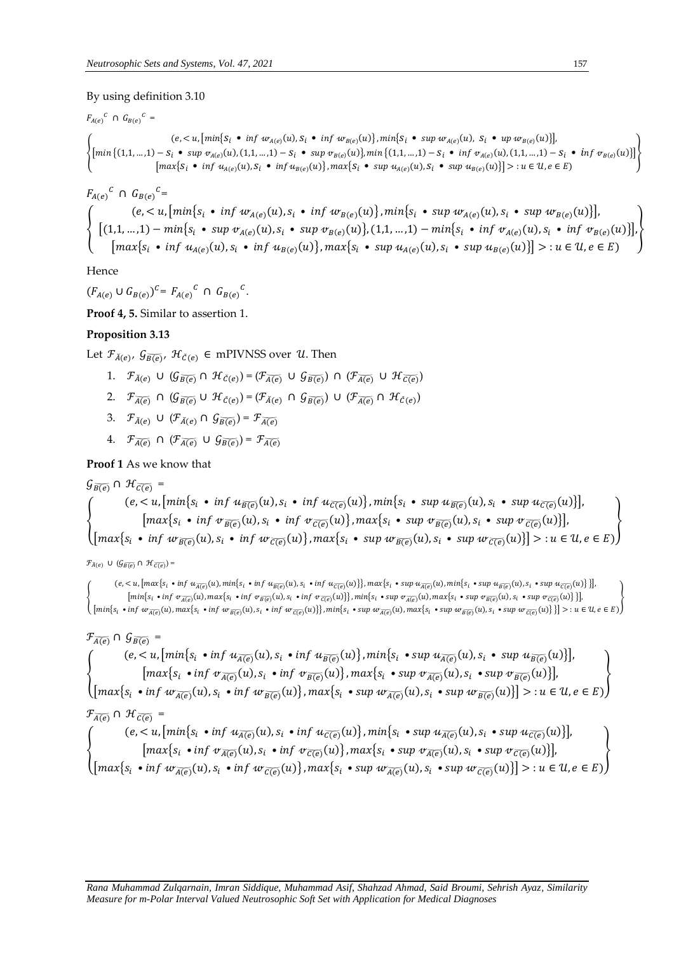### By using definition 3.10

$$
F_{A(e)}^C \cap G_{B(e)}^C =
$$
\n
$$
\begin{cases}\n(e, < u, [\min\{S_i \bullet \inf w_{A(e)}(u), S_i \bullet \inf w_{B(e)}(u)\}, \min\{S_i \bullet \sup w_{A(e)}(u), S_i \bullet \sup w_{B(e)}(u)\}], \\
[\min\{(1, 1, \dots, 1) - S_i \bullet \sup w_{A(e)}(u), (1, 1, \dots, 1) - S_i \bullet \sup w_{B(e)}(u)\}, \min\{(1, 1, \dots, 1) - S_i \bullet \inf w_{A(e)}(u), (1, 1, \dots, 1) - S_i \bullet \inf w_{B(e)}(u)\}]\n\end{cases}
$$
\n
$$
[\max\{S_i \bullet \inf w_{A(e)}(u), S_i \bullet \inf w_{B(e)}(u)\}, \max\{S_i \bullet \sup u_{A(e)}(u), S_i \bullet \sup w_{B(e)}(u)\}\} \ge \text{i} \in U, e \in E)
$$

$$
F_{A(e)}^c \cap G_{B(e)}^c =
$$
\n
$$
\begin{cases}\n(e, \langle u, [min\{s_i \bullet \inf w_{A(e)}(u), s_i \bullet \inf w_{B(e)}(u)\}, \min\{s_i \bullet \sup w_{A(e)}(u), s_i \bullet \sup w_{B(e)}(u)\}], \\
[1, 1, \dots, 1) - \min\{s_i \bullet \sup w_{A(e)}(u), s_i \bullet \sup w_{B(e)}(u)\}, (1, 1, \dots, 1) - \min\{s_i \bullet \inf w_{A(e)}(u), s_i \bullet \inf w_{B(e)}(u)\}], \\
[max\{s_i \bullet \inf u_{A(e)}(u), s_i \bullet \inf u_{B(e)}(u)\}, \max\{s_i \bullet \sup u_{A(e)}(u), s_i \bullet \sup u_{B(e)}(u)\}] > u \in \mathcal{U}, e \in E)\n\end{cases}
$$

Hence

 $(F_{A(e)} \cup G_{B(e)})^c = F_{A(e)}^c \cap G_{B(e)}^c$ 

**Proof 4, 5.** Similar to assertion 1.

# Proposition 3.13

Let  $\mathcal{F}_{\check{A}(e)}, \mathcal{G}_{\overline{B(e)}}, \mathcal{H}_{\check{C}(e)} \in \text{mPIVNSS over } \mathcal{U}$ . Then

- 1.  $\mathcal{F}_{\bar{A}(e)} \cup (\mathcal{G}_{\bar{B}(e)} \cap \mathcal{H}_{\bar{C}(e)}) = (\mathcal{F}_{\bar{A}(e)} \cup \mathcal{G}_{\bar{B}(e)}) \cap (\mathcal{F}_{\bar{A}(e)} \cup \mathcal{H}_{\bar{C}(e)})$
- 2.  $\mathcal{F}_{\overline{A(e)}} \cap (\mathcal{G}_{\overline{B(e)}} \cup \mathcal{H}_{\check{C}(e)}) = (\mathcal{F}_{\check{A}(e)} \cap \mathcal{G}_{\overline{B(e)}}) \cup (\mathcal{F}_{\overline{A(e)}} \cap \mathcal{H}_{\check{C}(e)})$
- 3.  $\mathcal{F}_{\check{A}(e)} \cup (\mathcal{F}_{\check{A}(e)} \cap \mathcal{G}_{\overline{B(e)}}) = \mathcal{F}_{\overline{A(e)}}$
- 4.  $\mathcal{F}_{\overline{A(e)}} \cap (\mathcal{F}_{\overline{A(e)}} \cup \mathcal{G}_{\overline{B(e)}}) = \mathcal{F}_{\overline{A(e)}}$

## **Proof 1** As we know that

# $\mathcal{G}_{\overline{B(e)}} \cap \mathcal{H}_{\overline{C(e)}} =$

$$
\begin{cases}\n(e, < u, [\min\{s_i \cdot \inf u_{\overline{B(e)}}(u), s_i \cdot \inf u_{\overline{C(e)}}(u)\}, \min\{s_i \cdot \sup u_{\overline{B(e)}}(u), s_i \cdot \sup u_{\overline{C(e)}}(u)\}], \\
[\max\{s_i \cdot \inf v_{\overline{B(e)}}(u), s_i \cdot \inf v_{\overline{C(e)}}(u)\}, \max\{s_i \cdot \sup v_{\overline{B(e)}}(u), s_i \cdot \sup v_{\overline{C(e)}}(u)\}], \\
[\max\{s_i \cdot \inf w_{\overline{B(e)}}(u), s_i \cdot \inf w_{\overline{C(e)}}(u)\}, \max\{s_i \cdot \sup w_{\overline{B(e)}}(u), s_i \cdot \sup w_{\overline{C(e)}}(u)\}] >: u \in \mathcal{U}, e \in E)\n\end{cases}
$$

 $\mathcal{F}_{\breve{A}(e)} \cup (\mathcal{G}_{\overline{B(e)}} \cap \mathcal{H}_{\overline{C(e)}})$  =

 $(e, \langle u, [\max\{s_i \bullet \inf u_{\overline{A(\epsilon)}}(u), \min\{s_i \bullet \inf u_{\overline{B(\epsilon)}}(u), s_i \bullet \inf u_{\overline{C(\epsilon)}}(u)\}\}, \max\{s_i \bullet \sup u_{\overline{A(\epsilon)}}(u), \min\{s_i \bullet \sup u_{\overline{B(\epsilon)}}(u), s_i \bullet \sup u_{\overline{C(\epsilon)}}(u)\}\}\$  $\big[\min\{s_i\,\text{ \texttt{inf} } \,\, \sigma_{\overline{A(e)}}(u), \max\{s_i\,\text{ \texttt{inf} } \,\, \sigma_{\overline{B(e)}}(u), s_i\,\text{ \texttt{inf} } \,\, \sigma_{\overline{C(e)}}(u)\}\big\}, \min\{s_i\,\text{ \texttt{inp} } \,\, \sigma_{\overline{A(e)}}(u), \max\{s_i\,\text{ \texttt{inp} } \,\, \sigma_{\overline{B(e)}}(u), s_i\,\text{ \texttt{inp} } \,\, \sigma_{\overline{C(e)}}(u)\}\big\}\big],$  $\Big( \left[\min\{s_i\; \bullet\inf\; w_{\overline{A(e)}}(u),\max\{s_i\; \bullet\inf\; w_{\overline{B(e)}}(u),s_i\; \bullet\inf\; w_{\overline{C(e)}}(u)\}\right], \min\{s_i\; \bullet\sup\; w_{\overline{A(e)}}(u),\max\{s_i\; \bullet\sup\; w_{\overline{B(e)}}(u),s_i\; \bullet\sup\; w_{\overline{C(e)}}(u)\}\}\Big)> : u\in\mathcal{U}, e\in E)$ 

# $\mathcal{F}_{\widetilde{A(\rho)}} \cap \mathcal{G}_{\widetilde{B(\rho)}} =$

 $\left\{\begin{array}{c} (e,$ 

$$
\mathcal{F}_{\widetilde{A(e)}} \cap \mathcal{H}_{\widetilde{C(e)}} =
$$

$$
(e, < u, \left[\min\{s_i \cdot \inf u_{\overline{\Lambda(e)}}(u), s_i \cdot \inf u_{\overline{\tilde{C(e)}}}(u)\right\}, \min\{s_i \cdot \sup u_{\overline{\tilde{A(e)}}}(u), s_i \cdot \sup u_{\overline{\tilde{C(e)}}}(u)\}\right],
$$
\n
$$
\left[\max\{s_i \cdot \inf v_{\overline{\tilde{A(e)}}}(u), s_i \cdot \inf v_{\overline{\tilde{C(e)}}}(u)\right\}, \max\{s_i \cdot \sup v_{\overline{\tilde{A(e)}}}(u), s_i \cdot \sup v_{\overline{\tilde{C(e)}}}(u)\}\right],
$$

 $max{s_i \cdot inf w_{\overline{A(e)}}(u), s_i \cdot inf w_{\overline{C(e)}}(u)}, max{s_i \cdot sup w_{\overline{A(e)}}(u), s_i \cdot sup w_{\overline{C(e)}}(u)}$  > :  $u \in U, e \in E)$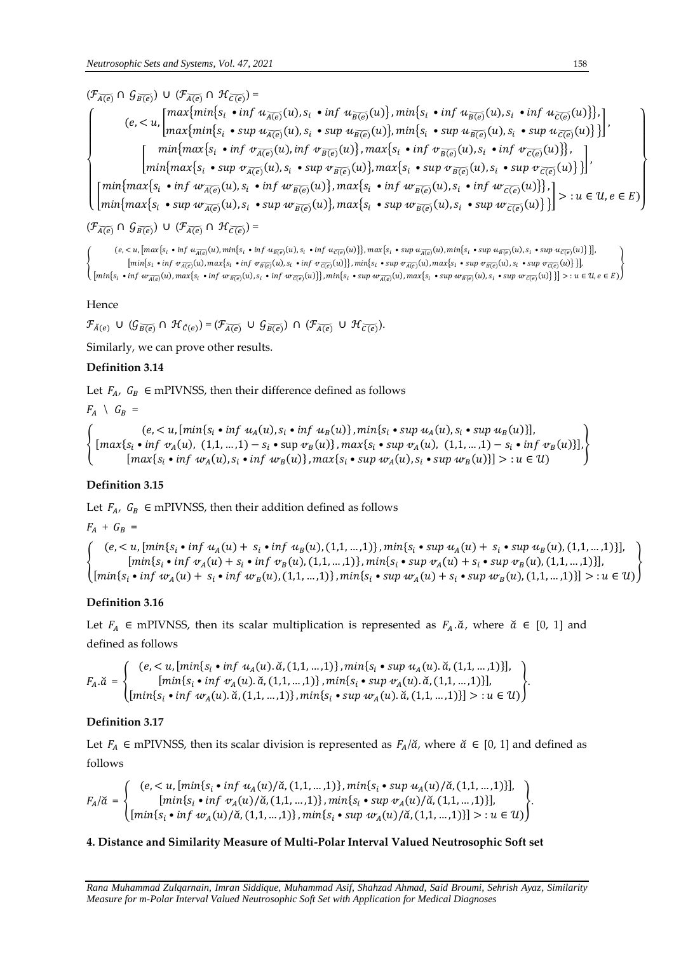$(\mathcal{F}_{\widetilde{A(e)}} \cap \mathcal{G}_{\widetilde{B(e)}}) \cup (\mathcal{F}_{\widetilde{A(e)}} \cap \mathcal{H}_{\widetilde{C(e)}})$  =  $\overline{\mathcal{L}}$  $\mathbf{I}$  $\mathbf{I}$  $\mathbf{I}$  $\mathbf{I}$  $\mathbf{I}$  $\left\{ \begin{array}{c} \left\{ \begin{array}{c} \cos \left( \frac{1}{\sqrt{1-\epsilon}} \right) \left( \frac{1}{\sqrt{1-\epsilon}} \right) \left( \frac{1}{\sqrt{1-\epsilon}} \right) \left( \frac{1}{\sqrt{1-\epsilon}} \right) \left( \frac{1}{\sqrt{1-\epsilon}} \right) \left( \frac{1}{\sqrt{1-\epsilon}} \right) \left( \frac{1}{\sqrt{1-\epsilon}} \right) \left( \frac{1}{\sqrt{1-\epsilon}} \right) \left( \frac{1}{\sqrt{1-\epsilon}} \right) \left( \frac{1}{\sqrt{1-\epsilon}} \right) \left( \frac{1}{\sqrt{1-\epsilon}} \$  $max\{min\{s_i \cdot sup u_{\overline{A(e)}}(u), s_i \cdot sup u_{\overline{B(e)}}(u)\}, min\{s_i \cdot sup u_{\overline{B(e)}}(u), s_i \cdot sup u_{\overline{C(e)}}(u)\}\}$  $\left\{\begin{array}{c}\min\{max\{s_i \bullet \inf \psi_{\overline{A(e)}}(u), \inf \psi_{\overline{B(e)}}(u)\}, \max\{s_i \bullet \inf \psi_{\overline{B(e)}}(u), s_i \bullet \inf \psi_{\overline{C(e)}}(u)\}\}\end{array}\right\}$  ${\min}$ { ${\max}$ { $s_i \cdot {\sup}$   $\sigma_{\overline{A(e)}}(u), s_i \cdot {\sup}$   $\sigma_{\overline{B(e)}}(u)$ },  ${\max}$ { $s_i \cdot {\sup}$   $\sigma_{\overline{B(e)}}(u), s_i \cdot {\sup}$   $\sigma_{\overline{B(e)}}(u)$ } }  ${\min\{max\{s_i \cdot \text{inf } w_{\overline{A(\epsilon)}}(u), s_i \cdot \text{inf } w_{\overline{B(\epsilon)}}(u)\}, \max\{s_i \cdot \text{inf } w_{\overline{B(\epsilon)}}(u), s_i \cdot \text{inf } w_{\overline{C(\epsilon)}}(u)\}\}}$  ${\min} \{ max\{ s_i \cdot sw_i w_{\overline{A(e)}}(u), s_i \cdot sw_i w_{\overline{B(e)}}(u) \}$ ,  $max\{ s_i \cdot sw_i w_{\overline{B(e)}}(u), s_i \cdot sw_i w_{\overline{C(e)}}(u) \} \}$  > :  $u \in \mathcal{U}, e \in E$ ) }  $\overline{1}$  $\overline{1}$  $\overline{1}$  $\overline{1}$  $\overline{1}$  $\overline{1}$ 

 $(\mathcal{F}_{\widetilde{A(e)}} \cap \mathcal{G}_{\widetilde{B(e)}}) \cup (\mathcal{F}_{\widetilde{A(e)}} \cap \mathcal{H}_{\widetilde{C(e)}})$  =

 $(e, < u, [\max\{s_i \bullet \inf u_{\overline{A(e)}}(u), \min\{s_i \bullet \inf u_{\overline{B(e)}}(u), s_i \bullet \inf u_{\overline{C(e)}}(u)\}], \max\{s_i \bullet \sup u_{\overline{A(e)}}(u), \min\{s_i \bullet \sup u_{\overline{B(e)}}(u), s_i \bullet \sup u_{\overline{C(e)}}(u)\} \}].$  $[\min\{s_i\; \bullet \inf\; \varphi_{\overline{A(e)}}(u), \max\{s_i\; \bullet \inf\; \varphi_{\overline{B(e)}}(u),s_i\; \bullet \inf\; \varphi_{\overline{C(e)}}(u)\}], \min\{s_i\; \bullet \sup\; \varphi_{\overline{A(e)}}(u), \max\{s_i\; \bullet \sup\; \varphi_{\overline{B(e)}}(u),s_i\; \bullet \sup\; \varphi_{\overline{C(e)}}(u)\} \}].$ }

# Hence

 $\mathcal{F}_{\breve{A}(e)}$  U  $(\mathcal{G}_{\overline{B(e)}} \cap \mathcal{H}_{\breve{C}(e)}) = (\mathcal{F}_{\widetilde{A(e)}} \cup \mathcal{G}_{\overline{B(e)}}) \cap (\mathcal{F}_{\widetilde{A(e)}} \cup \mathcal{H}_{\overline{C(e)}}).$ 

Similarly, we can prove other results.

## **Definition 3.14**

Let  $F_A$ ,  $G_B \in m$ PIVNSS, then their difference defined as follows

 $F_A \setminus G_B =$ 

{  $(e, < u, [\min\{s_i \bullet \inf u_A(u), s_i \bullet \inf u_B(u)\}, \min\{s_i \bullet \sup u_A(u), s_i \bullet \sup u_B(u)\}],$  ${[max{s_i \cdot inf \, v_A(u), (1,1,...,1) - s_i \cdot sup \, v_B(u)}}, max{s_i \cdot sup \, v_A(u), (1,1,...,1) - s_i \cdot inf \, v_B(u)}]$  $\left[\max\{s_i \bullet \inf w_A(u), s_i \bullet \inf w_B(u)\}\right], \max\{s_i \bullet \sup w_A(u), s_i \bullet \sup w_B(u)\}\right] > u \in \mathcal{U}$ }

# **Definition 3.15**

Let  $F_A$ ,  $G_B \in$  mPIVNSS, then their addition defined as follows

$$
F_A + G_B =
$$

{  $(e, < u, [\min\{s_i \bullet \inf u_A(u) + s_i \bullet \inf u_B(u), (1,1,...,1)\}, \min\{s_i \bullet \sup u_A(u) + s_i \bullet \sup u_B(u), (1,1,...,1)\}],$  ${[ min\{ s_i \bullet inf \, v_A(u) + s_i \bullet inf \, v_B(u), (1,1,...,1) \}, min\{ s_i \bullet sup \, v_A(u) + s_i \bullet sup \, v_B(u), (1,1,...,1) \}]}$  $[\min\{s_i \bullet \inf w_A(u) + s_i \bullet \inf w_B(u), (1,1,...,1)\}, \min\{s_i \bullet \sup w_A(u) + s_i \bullet \sup w_B(u), (1,1,...,1)\}] >: u \in U$ }

# **Definition 3.16**

Let  $F_A \in \text{mPIVNSS}$ , then its scalar multiplication is represented as  $F_A$ . $\check{a}$ , where  $\check{a} \in [0, 1]$  and defined as follows

$$
F_A.\breve{a} = \begin{cases} (e, : u \in U) \end{cases}.
$$

# **Definition 3.17**

Let  $F_A \in m$ PIVNSS, then its scalar division is represented as  $F_A/\tilde{a}$ , where  $\tilde{a} \in [0, 1]$  and defined as follows

$$
F_A/\tilde{\alpha} = \begin{cases} (e, : u \in U) \end{cases}.
$$

# **4. Distance and Similarity Measure of Multi-Polar Interval Valued Neutrosophic Soft set**

{  $\left[\min\{s_i\; \bullet \inf\; w_{\widetilde{A(e)}}(u), \max\{s_i\; \bullet \inf\; w_{\overline{B(e)}}(u), s_i\; \bullet \inf\; w_{\overline{C(e)}}(u)\}\right\}, \min\{s_i\; \bullet \sup\; w_{\overline{A(e)}}(u), \max\{s_i\; \bullet \sup\; w_{\overline{B(e)}}(u), s_i\; \bullet \sup\; w_{\overline{C(e)}}(u)\}\}\right] >: u\in \mathcal{U}, e\in E)$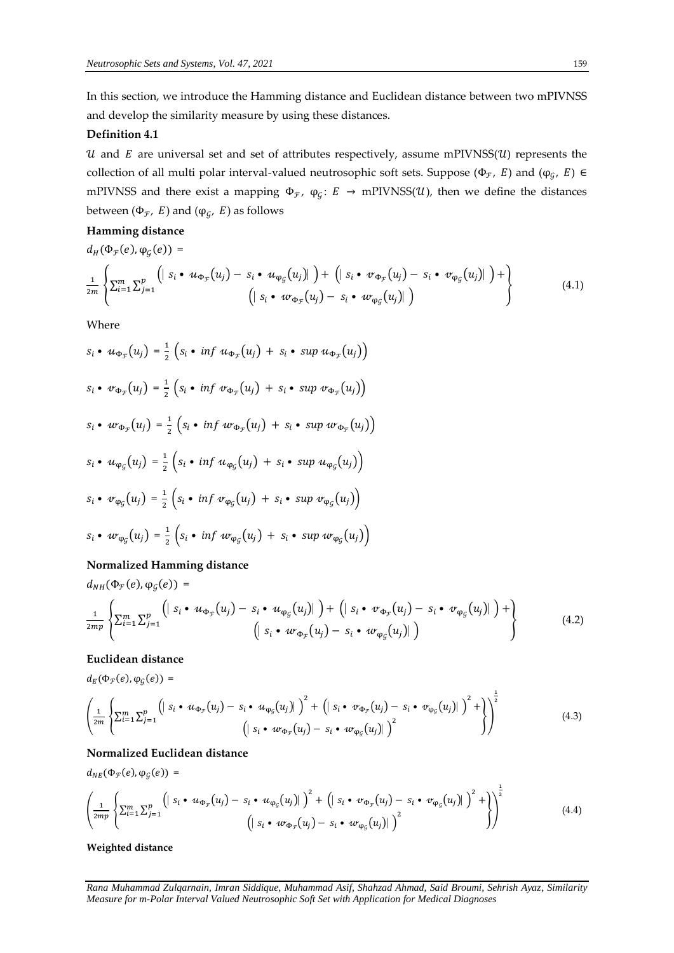In this section, we introduce the Hamming distance and Euclidean distance between two mPIVNSS and develop the similarity measure by using these distances.

## **Definition 4.1**

 $u$  and  $E$  are universal set and set of attributes respectively, assume mPIVNSS( $u$ ) represents the collection of all multi polar interval-valued neutrosophic soft sets. Suppose  $(\Phi_{\mathcal{F}}, E)$  and  $(\phi_{\mathcal{G}}, E) \in$ mPIVNSS and there exist a mapping  $\Phi_{\mathcal{F}}$ ,  $\varphi_{\mathcal{G}}$ :  $E \to m$ PIVNSS(U), then we define the distances between  $(\Phi_{\mathcal{F}},\; E)$  and  $(\phi_{\mathcal{G}},\; E)$  as follows

## **Hamming distance**

$$
d_H(\Phi_{\mathcal{F}}(e), \varphi_{\mathcal{G}}(e)) =
$$
\n
$$
\frac{1}{2m} \left\{ \sum_{i=1}^m \sum_{j=1}^p \left( \left| \ s_i \bullet u_{\Phi_{\mathcal{F}}}(u_j) - s_i \bullet u_{\varphi_{\mathcal{G}}}(u_j) \right| \right) + \left( \left| \ s_i \bullet v_{\Phi_{\mathcal{F}}}(u_j) - s_i \bullet v_{\varphi_{\mathcal{G}}}(u_j) \right| \right) + \left( \left| \ s_i \bullet u_{\Phi_{\mathcal{F}}}(u_j) - s_i \bullet v_{\varphi_{\mathcal{G}}}(u_j) \right| \right) \right\}
$$
\n
$$
(4.1)
$$

Where

$$
s_i \cdot u_{\Phi_{\mathcal{F}}}(u_j) = \frac{1}{2} \left( s_i \cdot \inf u_{\Phi_{\mathcal{F}}}(u_j) + s_i \cdot \sup u_{\Phi_{\mathcal{F}}}(u_j) \right)
$$
  
\n
$$
s_i \cdot v_{\Phi_{\mathcal{F}}}(u_j) = \frac{1}{2} \left( s_i \cdot \inf v_{\Phi_{\mathcal{F}}}(u_j) + s_i \cdot \sup v_{\Phi_{\mathcal{F}}}(u_j) \right)
$$
  
\n
$$
s_i \cdot w_{\Phi_{\mathcal{F}}}(u_j) = \frac{1}{2} \left( s_i \cdot \inf w_{\Phi_{\mathcal{F}}}(u_j) + s_i \cdot \sup w_{\Phi_{\mathcal{F}}}(u_j) \right)
$$
  
\n
$$
s_i \cdot u_{\phi_{\mathcal{G}}}(u_j) = \frac{1}{2} \left( s_i \cdot \inf u_{\phi_{\mathcal{G}}}(u_j) + s_i \cdot \sup u_{\phi_{\mathcal{G}}}(u_j) \right)
$$
  
\n
$$
s_i \cdot v_{\phi_{\mathcal{G}}}(u_j) = \frac{1}{2} \left( s_i \cdot \inf v_{\phi_{\mathcal{G}}}(u_j) + s_i \cdot \sup v_{\phi_{\mathcal{G}}}(u_j) \right)
$$
  
\n
$$
s_i \cdot w_{\phi_{\mathcal{G}}}(u_j) = \frac{1}{2} \left( s_i \cdot \inf w_{\phi_{\mathcal{G}}}(u_j) + s_i \cdot \sup w_{\phi_{\mathcal{G}}}(u_j) \right)
$$

### **Normalized Hamming distance**

$$
d_{NH}(\Phi_{\mathcal{F}}(e), \varphi_{\mathcal{G}}(e)) =
$$
\n
$$
\frac{1}{2mp} \left\{ \sum_{i=1}^{m} \sum_{j=1}^{p} \left( \left| S_i \bullet u_{\Phi_{\mathcal{F}}}(u_j) - S_i \bullet u_{\varphi_{\mathcal{G}}}(u_j) \right| \right) + \left( \left| S_i \bullet v_{\Phi_{\mathcal{F}}}(u_j) - S_i \bullet v_{\varphi_{\mathcal{G}}}(u_j) \right| \right) + \left( \left| S_i \bullet u_{\Phi_{\mathcal{F}}}(u_j) - S_i \bullet u_{\varphi_{\mathcal{G}}}(u_j) \right| \right) \right\}
$$
\n
$$
(4.2)
$$

# **Euclidean distance**  $d_E(\Phi_{\mathcal{F}}(e), \varphi_{\mathcal{G}}(e)) =$

$$
\left(\frac{1}{2m}\left\{\sum_{i=1}^{m}\sum_{j=1}^{p}\left(|s_i\bullet u_{\Phi_{\mathcal{F}}}(u_j)-s_i\bullet u_{\phi_{\mathcal{G}}}(u_j)|\right)^2+\left(|s_i\bullet v_{\Phi_{\mathcal{F}}}(u_j)-s_i\bullet v_{\phi_{\mathcal{G}}}(u_j)|\right)^2+\right)\right\}^{\frac{1}{2}}\right)
$$
\n
$$
\left(|s_i\bullet w_{\Phi_{\mathcal{F}}}(u_j)-s_i\bullet w_{\phi_{\mathcal{G}}}(u_j)|\right)^2\tag{4.3}
$$

#### **Normalized Euclidean distance**

$$
d_{NE}(\Phi_{\mathcal{F}}(e), \varphi_{\mathcal{G}}(e)) =
$$
\n
$$
\left(\frac{1}{2mp}\left\{\sum_{i=1}^{m}\sum_{j=1}^{p}\left(|s_{i} \cdot u_{\Phi_{\mathcal{F}}}(u_{j}) - s_{i} \cdot u_{\varphi_{\mathcal{G}}}(u_{j})|\right)^{2} + \left(|s_{i} \cdot v_{\Phi_{\mathcal{F}}}(u_{j}) - s_{i} \cdot v_{\varphi_{\mathcal{G}}}(u_{j})|\right)^{2} + \right\}\right)^{\frac{1}{2}}
$$
\n
$$
(4.4)
$$

## **Weighted distance**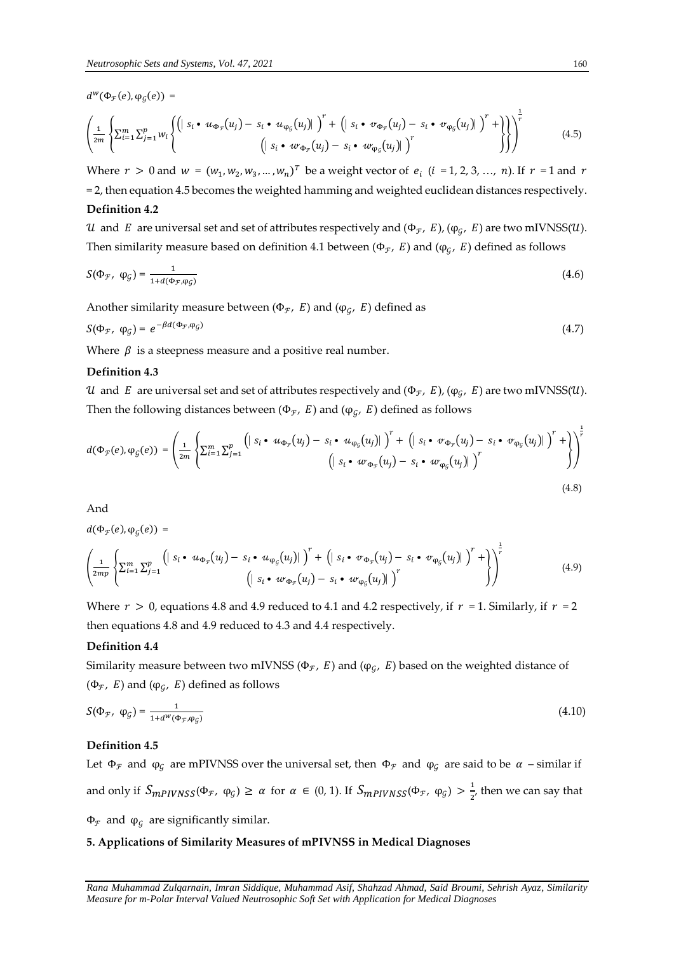$d^w(\Phi_{\mathcal{F}}(e), \varphi_{\mathcal{G}}(e)) =$ 

$$
\left(\frac{1}{2m}\left\{\sum_{i=1}^{m}\sum_{j=1}^{p}w_{i}\left\{\left(|s_{i}\bullet u_{\Phi_{\mathcal{F}}}(u_{j})-s_{i}\bullet u_{\phi_{\mathcal{G}}}(u_{j})|\right)^{r}+\left(|s_{i}\bullet v_{\Phi_{\mathcal{F}}}(u_{j})-s_{i}\bullet v_{\phi_{\mathcal{G}}}(u_{j})|\right)^{r}+\right\}\right\}\right)^{\frac{1}{r}}\tag{4.5}
$$

Where  $r > 0$  and  $w = (w_1, w_2, w_3, ..., w_n)^T$  be a weight vector of  $e_i$   $(i = 1, 2, 3, ..., n)$ . If  $r = 1$  and  $r$ = 2, then equation 4.5 becomes the weighted hamming and weighted euclidean distances respectively.

## **Definition 4.2**

 $u$  and  $E$  are universal set and set of attributes respectively and (Φ $_F$ , E), (φ $_G$ , E) are two mIVNSS( $u$ ). Then similarity measure based on definition 4.1 between (Φ $_{\mathcal{F}}$ , E) and (φ $_{\mathcal{G}}$ , E) defined as follows

$$
S(\Phi_{\mathcal{F}}, \ \varphi_{\mathcal{G}}) = \frac{1}{1 + d(\Phi_{\mathcal{F}}, \varphi_{\mathcal{G}})}\tag{4.6}
$$

Another similarity measure between ( $\Phi_{\mathcal{F}}$ , E) and ( $\phi_{\mathcal{G}}$ , E) defined as

$$
S(\Phi_{\mathcal{F}}, \ \varphi_{\mathcal{G}}) = e^{-\beta d(\Phi_{\mathcal{F}}, \varphi_{\mathcal{G}})} \tag{4.7}
$$

Where  $\beta$  is a steepness measure and a positive real number.

#### **Definition 4.3**

 $u$  and  $E$  are universal set and set of attributes respectively and (Φ $_F$ , E), (φ $_G$ , E) are two mIVNSS( $u$ ). Then the following distances between (Φ $_F$ , E) and (φ $_G$ , E) defined as follows

$$
d(\Phi_{\mathcal{F}}(e), \varphi_{\mathcal{G}}(e)) = \left(\frac{1}{2m} \left\{ \sum_{i=1}^{m} \sum_{j=1}^{p} \left( \mid s_{i} \cdot u_{\Phi_{\mathcal{F}}}(u_{j}) - s_{i} \cdot u_{\varphi_{\mathcal{G}}}(u_{j}) \mid \right)^{r} + \left( \mid s_{i} \cdot v_{\Phi_{\mathcal{F}}}(u_{j}) - s_{i} \cdot v_{\varphi_{\mathcal{G}}}(u_{j}) \mid \right)^{r} + \right) \right\}^{2}
$$
\n
$$
\left( \mid s_{i} \cdot w_{\Phi_{\mathcal{F}}}(u_{j}) - s_{i} \cdot w_{\varphi_{\mathcal{G}}}(u_{j}) \mid \right)^{r}
$$
\n
$$
(4.8)
$$

And

 $d(\Phi_{\mathcal{F}}(e), \varphi_{\mathcal{G}}(e)) =$ 

$$
\left(\frac{1}{2mp}\left\{\sum_{i=1}^{m}\sum_{j=1}^{p}\left(|s_{i}\bullet u_{\Phi_{\mathcal{F}}}(u_{j})-s_{i}\bullet u_{\phi_{\mathcal{G}}}(u_{j})|\right)^{r}+\left(|s_{i}\bullet v_{\Phi_{\mathcal{F}}}(u_{j})-s_{i}\bullet v_{\phi_{\mathcal{G}}}(u_{j})|\right)^{r}+\right)\right\}^{\frac{1}{r}}
$$
\n
$$
\left(|s_{i}\bullet w_{\Phi_{\mathcal{F}}}(u_{j})-s_{i}\bullet w_{\phi_{\mathcal{G}}}(u_{j})|\right)^{r}
$$
\n
$$
(4.9)
$$

Where  $r > 0$ , equations 4.8 and 4.9 reduced to 4.1 and 4.2 respectively, if  $r = 1$ . Similarly, if  $r = 2$ then equations 4.8 and 4.9 reduced to 4.3 and 4.4 respectively.

#### **Definition 4.4**

Similarity measure between two mIVNSS ( $\Phi_{\mathcal{F}}$ , E) and ( $\varphi_{\mathcal{G}}$ , E) based on the weighted distance of (Φ $_F$ , E) and (φ $_G$ , E) defined as follows

$$
S(\Phi_{\mathcal{F}}, \ \varphi_{\mathcal{G}}) = \frac{1}{1 + d^W(\Phi_{\mathcal{F}}, \varphi_{\mathcal{G}})}
$$
(4.10)

#### **Definition 4.5**

Let  $\Phi_{\mathcal{F}}$  and  $\phi_{\mathcal{G}}$  are mPIVNSS over the universal set, then  $\Phi_{\mathcal{F}}$  and  $\phi_{\mathcal{G}}$  are said to be  $\alpha$  – similar if and only if  $S_{mPIVNSS}(\Phi_{\mathcal{F}}, \varphi_{\mathcal{G}}) \ge \alpha$  for  $\alpha \in (0, 1)$ . If  $S_{mPIVNSS}(\Phi_{\mathcal{F}}, \varphi_{\mathcal{G}}) > \frac{1}{2}$  $\frac{1}{2}$ , then we can say that  $\Phi_{\mathcal{F}}$  and  $\varphi_{\mathcal{G}}$  are significantly similar.

#### **5. Applications of Similarity Measures of mPIVNSS in Medical Diagnoses**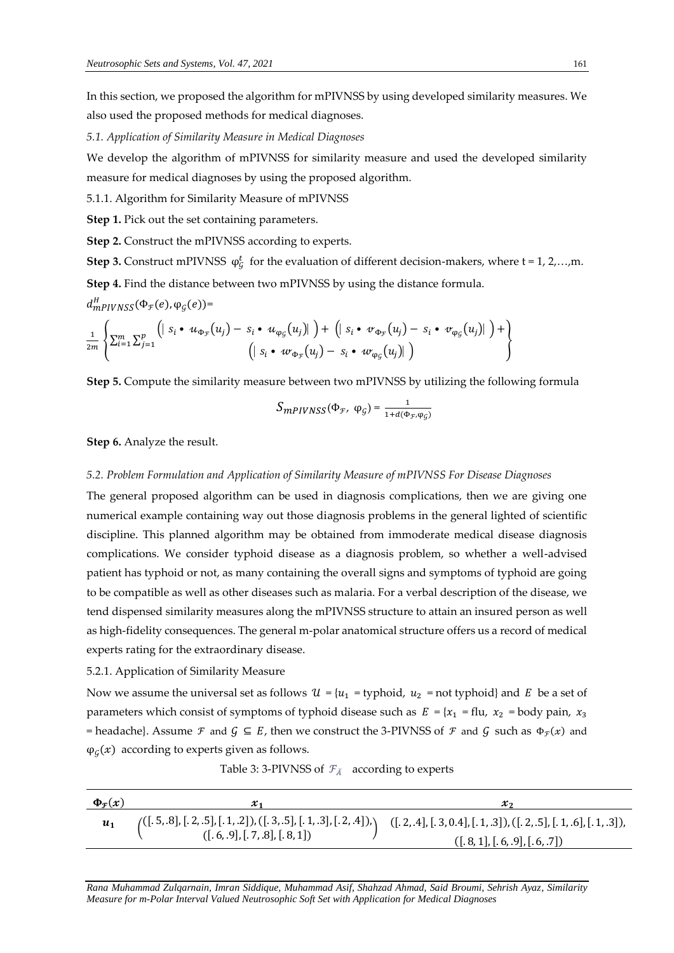In this section, we proposed the algorithm for mPIVNSS by using developed similarity measures. We also used the proposed methods for medical diagnoses.

*5.1. Application of Similarity Measure in Medical Diagnoses*

We develop the algorithm of mPIVNSS for similarity measure and used the developed similarity measure for medical diagnoses by using the proposed algorithm.

5.1.1. Algorithm for Similarity Measure of mPIVNSS

**Step 1.** Pick out the set containing parameters.

**Step 2.** Construct the mPIVNSS according to experts.

**Step 3.** Construct mPIVNSS  $\varphi_{\mathcal{G}}^{t}$  for the evaluation of different decision-makers, where t = 1, 2,...,m.

**Step 4.** Find the distance between two mPIVNSS by using the distance formula.

 $d_{mPIVNSS}^H(\Phi_{\mathcal{F}}(e),\phi_{\mathcal{G}}(e))$ =

$$
\frac{1}{2m}\left\{\sum_{i=1}^m\sum_{j=1}^p\left(\left|s_i\bullet u_{\Phi_{\mathcal{F}}}(u_j)-s_i\bullet u_{\phi_{\mathcal{G}}}(u_j)\right|\right)+\left(\left|s_i\bullet v_{\Phi_{\mathcal{F}}}(u_j)-s_i\bullet v_{\phi_{\mathcal{G}}}(u_j)\right|\right)+\right\}
$$
\n
$$
\left(\left|s_i\bullet w_{\Phi_{\mathcal{F}}}(u_j)-s_i\bullet w_{\phi_{\mathcal{G}}}(u_j)\right|\right)
$$

**Step 5.** Compute the similarity measure between two mPIVNSS by utilizing the following formula

$$
S_{mPIVNSS}(\Phi_{\mathcal{F}},\ \varphi_{\mathcal{G}})=\tfrac{1}{1+d(\Phi_{\mathcal{F}},\varphi_{\mathcal{G}})}
$$

**Step 6.** Analyze the result.

#### *5.2. Problem Formulation and Application of Similarity Measure of mPIVNSS For Disease Diagnoses*

The general proposed algorithm can be used in diagnosis complications, then we are giving one numerical example containing way out those diagnosis problems in the general lighted of scientific discipline. This planned algorithm may be obtained from immoderate medical disease diagnosis complications. We consider typhoid disease as a diagnosis problem, so whether a well-advised patient has typhoid or not, as many containing the overall signs and symptoms of typhoid are going to be compatible as well as other diseases such as malaria. For a verbal description of the disease, we tend dispensed similarity measures along the mPIVNSS structure to attain an insured person as well as high-fidelity consequences. The general m-polar anatomical structure offers us a record of medical experts rating for the extraordinary disease.

#### 5.2.1. Application of Similarity Measure

Now we assume the universal set as follows  $\mathcal{U} = \{u_1 = \text{typhoid}, u_2 = \text{not typhoid}\}$  and E be a set of parameters which consist of symptoms of typhoid disease such as  $E = \{x_1 = flu, x_2 = body \,\text{pain}, x_3 = blu\}$ = headache}. Assume  $\mathcal F$  and  $\mathcal G \subseteq E$ , then we construct the 3-PIVNSS of  $\mathcal F$  and  $\mathcal G$  such as  $\Phi_{\mathcal F}(x)$  and  $\varphi_{\mathcal{G}}(x)$  according to experts given as follows.

| Table 3: 3-PIVNSS of $\mathcal{F}_{\breve{A}}$ according to experts |  |
|---------------------------------------------------------------------|--|
|---------------------------------------------------------------------|--|

| $\Phi_{\mathcal{F}}(x)$ | $x_{1}$                                                                                                                                                                                                            | x,                            |
|-------------------------|--------------------------------------------------------------------------------------------------------------------------------------------------------------------------------------------------------------------|-------------------------------|
| $\mathbf{u}_1$          | $\binom{([.5, .8], [.2, .5], [.1, .2]), ([.3, .5], [.1, .3], [.2, .4]),}{([.6, .9], [.7, .8], [.8, 1])}$ $\binom{([.2, .4], [.3, 0.4], [.1, .3]), ([.2, .5], [.1, .6], [.1, .3]),}{([.6, .9], [.7, .8], [.8, 1])}$ |                               |
|                         |                                                                                                                                                                                                                    | ([.8, 1], [.6, .9], [.6, .7]) |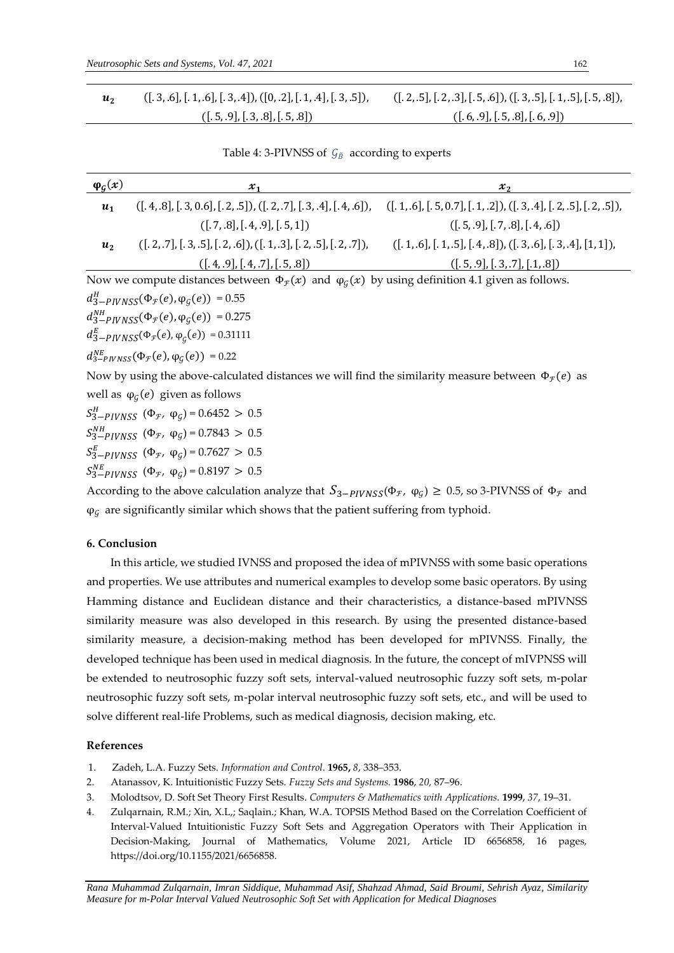| $([.3, .6], [.1, .6], [.3, .4]), ([0, .2], [.1, .4], [.3, .5]),$ | $([.2, .5], [.2, .3], [.5, .6]), ([.3, .5], [.1, .5], [.5, .8]),$ |
|------------------------------------------------------------------|-------------------------------------------------------------------|
| ([.5, .9], [.3, .8], [.5, .8])                                   | ([.6, 9], [.5, .8], [.6, .9])                                     |

Table 4: 3-PIVNSS of  $\mathcal{G}_{\breve{B}}$  according to experts

| $\varphi_{\mathcal{G}}(x)$                                                                                                        | $x_1$                                                                       | $x_2$                                                              |  |  |
|-----------------------------------------------------------------------------------------------------------------------------------|-----------------------------------------------------------------------------|--------------------------------------------------------------------|--|--|
| $u_1$                                                                                                                             | $([.4, .8], [.3, 0.6], [.2, .5]), ([.2, .7], [.3, .4], [.4, .6]),$          | $([.1, .6], [.5, 0.7], [.1, .2]), ([.3, .4], [.2, .5], [.2, .5]),$ |  |  |
|                                                                                                                                   | ([.7, .8], [.4, .9], [.5, 1])                                               | ([.5, .9], [.7, .8], [.4, .6])                                     |  |  |
| $u_2$                                                                                                                             | $([.2, .7], [.3, .5], [.2, .6]), ([.1, .3], [.2, .5], [.2, .7]),$           | $([.1, .6], [.1, .5], [.4, .8]), ([.3, .6], [.3, .4], [1, 1]),$    |  |  |
|                                                                                                                                   | ([.4, .9], [.4, .7], [.5, .8])                                              | ([.5, .9], [.3, .7], [.1, .8])                                     |  |  |
| Now we compute distances between $\Phi_{\mathcal{F}}(x)$ and $\varphi_{\mathcal{G}}(x)$ by using definition 4.1 given as follows. |                                                                             |                                                                    |  |  |
|                                                                                                                                   | $d_{3-PIVNSS}^H(\Phi_F(e), \phi_G(e)) = 0.55$                               |                                                                    |  |  |
| $d_{3-pIVNSS}^{NH}(\Phi_{\mathcal{F}}(e), \varphi_{G}(e)) = 0.275$                                                                |                                                                             |                                                                    |  |  |
| $d_{3-PIVNSS}^{E}(\Phi_{\mathcal{F}}(e), \varphi_{G}(e)) = 0.31111$                                                               |                                                                             |                                                                    |  |  |
| $d_{3-PIVNSS}^{NE}(\Phi_F(e), \phi_G(e)) = 0.22$                                                                                  |                                                                             |                                                                    |  |  |
| Now by using the above-calculated distances we will find the similarity measure between $\Phi_{\mathcal{F}}(e)$ as                |                                                                             |                                                                    |  |  |
| well as $\varphi_G(e)$ given as follows                                                                                           |                                                                             |                                                                    |  |  |
| $S_{3-PIVNSS}^H$ ( $\Phi_{\mathcal{F}}$ , $\varphi_G$ ) = 0.6452 > 0.5                                                            |                                                                             |                                                                    |  |  |
|                                                                                                                                   | $S_{3-pIVNSS}^{NH}$ ( $\Phi_{\mathcal{F}}$ , $\varphi_{G}$ ) = 0.7843 > 0.5 |                                                                    |  |  |
|                                                                                                                                   | $S_{3-pIVNSS}^{E}$ ( $\Phi_{\mathcal{F}}$ , $\varphi_{G}$ ) = 0.7627 > 0.5  |                                                                    |  |  |

According to the above calculation analyze that  $S_{3-PIVNSS}(\Phi_{\mathcal{F}}, \varphi_{\mathcal{G}}) \ge 0.5$ , so 3-PIVNSS of  $\Phi_{\mathcal{F}}$  and  $\varphi$  are significantly similar which shows that the patient suffering from typhoid.

## **6. Conclusion**

 $S_{3-pIVNSS}^{NE}$  ( $\Phi_{\mathcal{F}}$ ,  $\varphi_{\mathcal{G}}$ ) = 0.8197 > 0.5

In this article, we studied IVNSS and proposed the idea of mPIVNSS with some basic operations and properties. We use attributes and numerical examples to develop some basic operators. By using Hamming distance and Euclidean distance and their characteristics, a distance-based mPIVNSS similarity measure was also developed in this research. By using the presented distance-based similarity measure, a decision-making method has been developed for mPIVNSS. Finally, the developed technique has been used in medical diagnosis. In the future, the concept of mIVPNSS will be extended to neutrosophic fuzzy soft sets, interval-valued neutrosophic fuzzy soft sets, m-polar neutrosophic fuzzy soft sets, m-polar interval neutrosophic fuzzy soft sets, etc., and will be used to solve different real-life Problems, such as medical diagnosis, decision making, etc.

#### **References**

- 1. Zadeh, L.A. Fuzzy Sets. *Information and Control*. **1965,** *8*, 338–353.
- 2. Atanassov, K. Intuitionistic Fuzzy Sets. *Fuzzy Sets and Systems.* **1986**, *20,* 87–96.
- 3. Molodtsov, D. Soft Set Theory First Results. *Computers & Mathematics with Applications.* **1999**, *37*, 19–31.
- 4. Zulqarnain, R.M.; Xin, X.L,; Saqlain.; Khan, W.A. TOPSIS Method Based on the Correlation Coefficient of Interval-Valued Intuitionistic Fuzzy Soft Sets and Aggregation Operators with Their Application in Decision-Making, Journal of Mathematics, Volume 2021, Article ID 6656858, 16 pages, https://doi.org/10.1155/2021/6656858.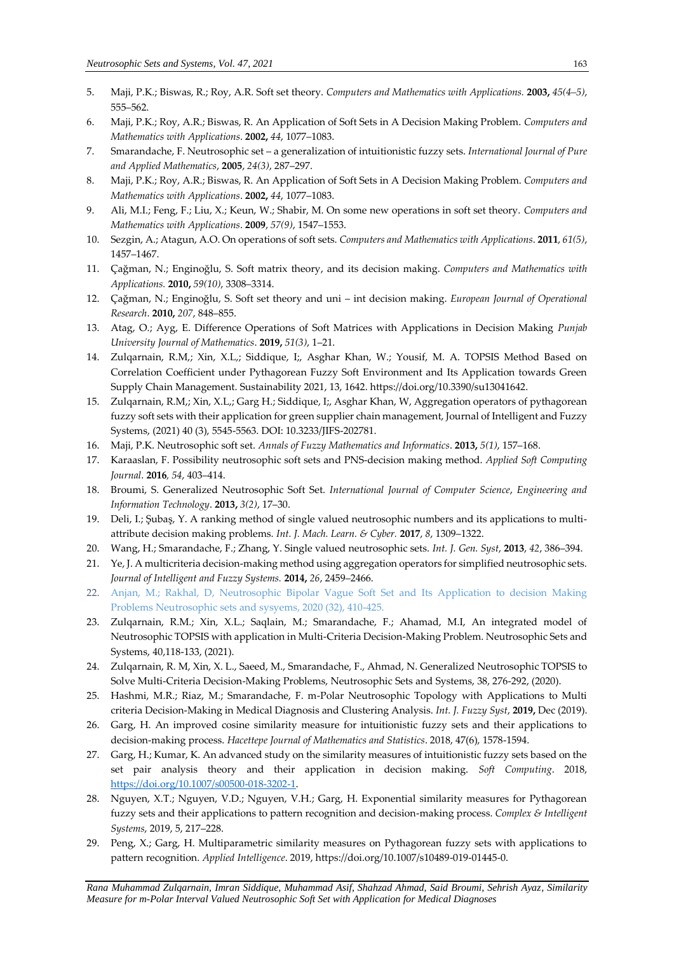- 5. Maji, P.K.; Biswas, R.; Roy, A.R. Soft set theory. *Computers and Mathematics with Applications.* **2003,** *45(4–5)*, 555–562.
- 6. Maji, P.K.; Roy, A.R.; Biswas, R. An Application of Soft Sets in A Decision Making Problem. *Computers and Mathematics with Applications*. **2002,** *44*, 1077–1083.
- 7. Smarandache, F. Neutrosophic set a generalization of intuitionistic fuzzy sets. *International Journal of Pure and Applied Mathematics*, **2005**, *24(3)*, 287–297.
- 8. Maji, P.K.; Roy, A.R.; Biswas, R. An Application of Soft Sets in A Decision Making Problem. *Computers and Mathematics with Applications*. **2002,** *44*, 1077–1083.
- 9. Ali, M.I.; Feng, F.; Liu, X.; Keun, W.; Shabir, M. On some new operations in soft set theory. *Computers and Mathematics with Applications*. **2009**, *57(9)*, 1547–1553.
- 10. Sezgin, A.; Atagun, A.O. On operations of soft sets. *Computers and Mathematics with Applications*. **2011**, *61(5)*, 1457–1467.
- 11. Çağman, N.; Enginoğlu, S. Soft matrix theory, and its decision making. *Computers and Mathematics with Applications.* **2010,** *59(10)*, 3308–3314.
- 12. Çağman, N.; Enginoğlu, S. Soft set theory and uni int decision making. *European Journal of Operational Research*. **2010,** *207*, 848–855.
- 13. Atag, O.; Ayg, E. Difference Operations of Soft Matrices with Applications in Decision Making *Punjab University Journal of Mathematics*. **2019,** *51(3)*, 1–21.
- 14. Zulqarnain, R.M,; Xin, X.L,; Siddique, I;, Asghar Khan, W.; Yousif, M. A. TOPSIS Method Based on Correlation Coefficient under Pythagorean Fuzzy Soft Environment and Its Application towards Green Supply Chain Management. Sustainability 2021, 13, 1642. https://doi.org/10.3390/su13041642.
- 15. Zulqarnain, R.M,; Xin, X.L,; Garg H.; Siddique, I;, Asghar Khan, W, Aggregation operators of pythagorean fuzzy soft sets with their application for green supplier chain management, Journal of Intelligent and Fuzzy Systems, (2021) 40 (3), 5545-5563. DOI: 10.3233/JIFS-202781.
- 16. Maji, P.K. Neutrosophic soft set. *Annals of Fuzzy Mathematics and Informatics*. **2013,** *5(1)*, 157–168.
- 17. Karaaslan, F. Possibility neutrosophic soft sets and PNS-decision making method. *Applied Soft Computing Journal*. **2016***, 54*, 403–414.
- 18. Broumi, S. Generalized Neutrosophic Soft Set. *International Journal of Computer Science*, *Engineering and Information Technology*. **2013,** *3(2)*, 17–30.
- 19. Deli, I.; Şubaş, Y. A ranking method of single valued neutrosophic numbers and its applications to multiattribute decision making problems. *Int. J. Mach. Learn. & Cyber.* **2017**, *8*, 1309–1322.
- 20. Wang, H.; Smarandache, F.; Zhang, Y. Single valued neutrosophic sets. *Int. J. Gen. Syst*, **2013**, *42*, 386–394.
- 21. Ye, J. A multicriteria decision-making method using aggregation operators for simplified neutrosophic sets. *Journal of Intelligent and Fuzzy Systems.* **2014,** *26*, 2459–2466.
- 22. Anjan, M.; Rakhal, D, Neutrosophic Bipolar Vague Soft Set and Its Application to decision Making Problems Neutrosophic sets and sysyems, 2020 (32), 410-425.
- 23. Zulqarnain, R.M.; Xin, X.L.; Saqlain, M.; Smarandache, F.; Ahamad, M.I, An integrated model of Neutrosophic TOPSIS with application in Multi-Criteria Decision-Making Problem. Neutrosophic Sets and Systems, 40,118-133, (2021).
- 24. Zulqarnain, R. M, Xin, X. L., Saeed, M., Smarandache, F., Ahmad, N. Generalized Neutrosophic TOPSIS to Solve Multi-Criteria Decision-Making Problems, Neutrosophic Sets and Systems, 38, 276-292, (2020).
- 25. Hashmi, M.R.; Riaz, M.; Smarandache, F. m-Polar Neutrosophic Topology with Applications to Multi criteria Decision-Making in Medical Diagnosis and Clustering Analysis. *Int. J. Fuzzy Syst*, **2019,** Dec (2019).
- 26. Garg, H. An improved cosine similarity measure for intuitionistic fuzzy sets and their applications to decision-making process. *Hacettepe Journal of Mathematics and Statistics*. 2018, 47(6), 1578-1594.
- 27. Garg, H.; Kumar, K. An advanced study on the similarity measures of intuitionistic fuzzy sets based on the set pair analysis theory and their application in decision making. *Soft Computing*. 2018, [https://doi.org/10.1007/s00500-018-3202-1.](https://doi.org/10.1007/s00500-018-3202-1)
- 28. Nguyen, X.T.; Nguyen, V.D.; Nguyen, V.H.; Garg, H. Exponential similarity measures for Pythagorean fuzzy sets and their applications to pattern recognition and decision-making process. *Complex & Intelligent Systems*, 2019, 5, 217–228.
- 29. Peng, X.; Garg, H. Multiparametric similarity measures on Pythagorean fuzzy sets with applications to pattern recognition. *Applied Intelligence*. 2019, https://doi.org/10.1007/s10489-019-01445-0.